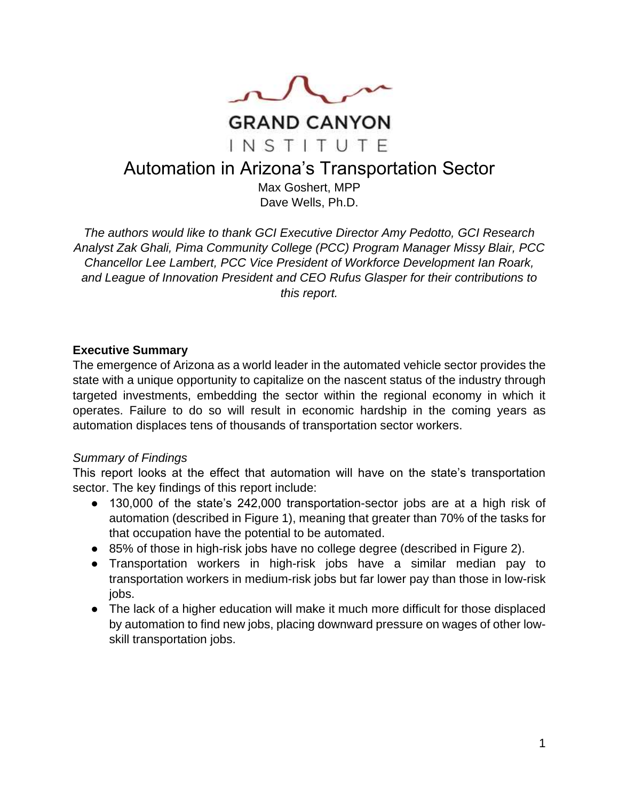

# Automation in Arizona's Transportation Sector

Max Goshert, MPP Dave Wells, Ph.D.

*The authors would like to thank GCI Executive Director Amy Pedotto, GCI Research Analyst Zak Ghali, Pima Community College (PCC) Program Manager Missy Blair, PCC Chancellor Lee Lambert, PCC Vice President of Workforce Development Ian Roark, and League of Innovation President and CEO Rufus Glasper for their contributions to this report.*

#### **Executive Summary**

The emergence of Arizona as a world leader in the automated vehicle sector provides the state with a unique opportunity to capitalize on the nascent status of the industry through targeted investments, embedding the sector within the regional economy in which it operates. Failure to do so will result in economic hardship in the coming years as automation displaces tens of thousands of transportation sector workers.

#### *Summary of Findings*

This report looks at the effect that automation will have on the state's transportation sector. The key findings of this report include:

- 130,000 of the state's 242,000 transportation-sector jobs are at a high risk of automation (described in Figure 1), meaning that greater than 70% of the tasks for that occupation have the potential to be automated.
- 85% of those in high-risk jobs have no college degree (described in Figure 2).
- Transportation workers in high-risk jobs have a similar median pay to transportation workers in medium-risk jobs but far lower pay than those in low-risk jobs.
- The lack of a higher education will make it much more difficult for those displaced by automation to find new jobs, placing downward pressure on wages of other lowskill transportation jobs.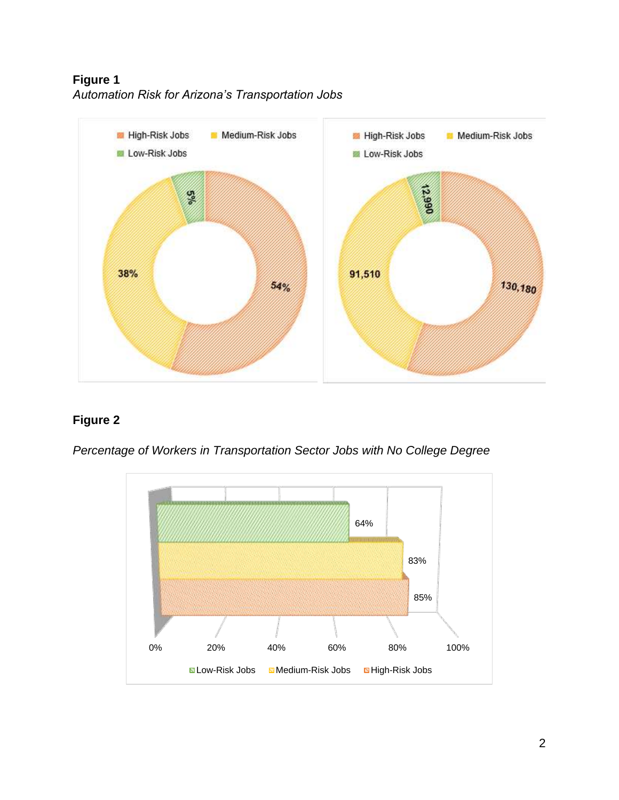**Figure 1** *Automation Risk for Arizona's Transportation Jobs* 



# **Figure 2**

*Percentage of Workers in Transportation Sector Jobs with No College Degree*

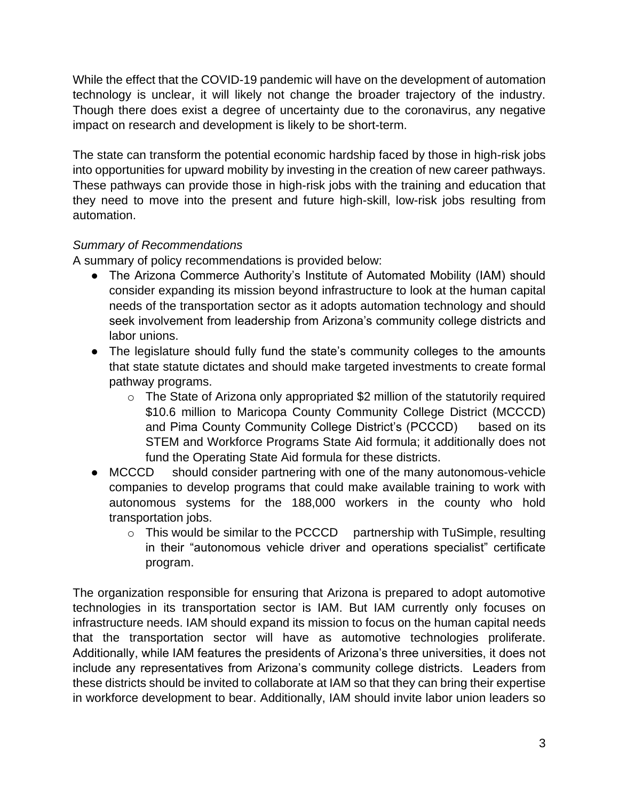While the effect that the COVID-19 pandemic will have on the development of automation technology is unclear, it will likely not change the broader trajectory of the industry. Though there does exist a degree of uncertainty due to the coronavirus, any negative impact on research and development is likely to be short-term.

The state can transform the potential economic hardship faced by those in high-risk jobs into opportunities for upward mobility by investing in the creation of new career pathways. These pathways can provide those in high-risk jobs with the training and education that they need to move into the present and future high-skill, low-risk jobs resulting from automation.

# *Summary of Recommendations*

A summary of policy recommendations is provided below:

- The Arizona Commerce Authority's Institute of Automated Mobility (IAM) should consider expanding its mission beyond infrastructure to look at the human capital needs of the transportation sector as it adopts automation technology and should seek involvement from leadership from Arizona's community college districts and labor unions.
- The legislature should fully fund the state's community colleges to the amounts that state statute dictates and should make targeted investments to create formal pathway programs.
	- o The State of Arizona only appropriated \$2 million of the statutorily required \$10.6 million to Maricopa County Community College District (MCCCD) and Pima County Community College District's (PCCCD) based on its STEM and Workforce Programs State Aid formula; it additionally does not fund the Operating State Aid formula for these districts.
- MCCCD should consider partnering with one of the many autonomous-vehicle companies to develop programs that could make available training to work with autonomous systems for the 188,000 workers in the county who hold transportation jobs.
	- $\circ$  This would be similar to the PCCCD partnership with TuSimple, resulting in their "autonomous vehicle driver and operations specialist" certificate program.

The organization responsible for ensuring that Arizona is prepared to adopt automotive technologies in its transportation sector is IAM. But IAM currently only focuses on infrastructure needs. IAM should expand its mission to focus on the human capital needs that the transportation sector will have as automotive technologies proliferate. Additionally, while IAM features the presidents of Arizona's three universities, it does not include any representatives from Arizona's community college districts. Leaders from these districts should be invited to collaborate at IAM so that they can bring their expertise in workforce development to bear. Additionally, IAM should invite labor union leaders so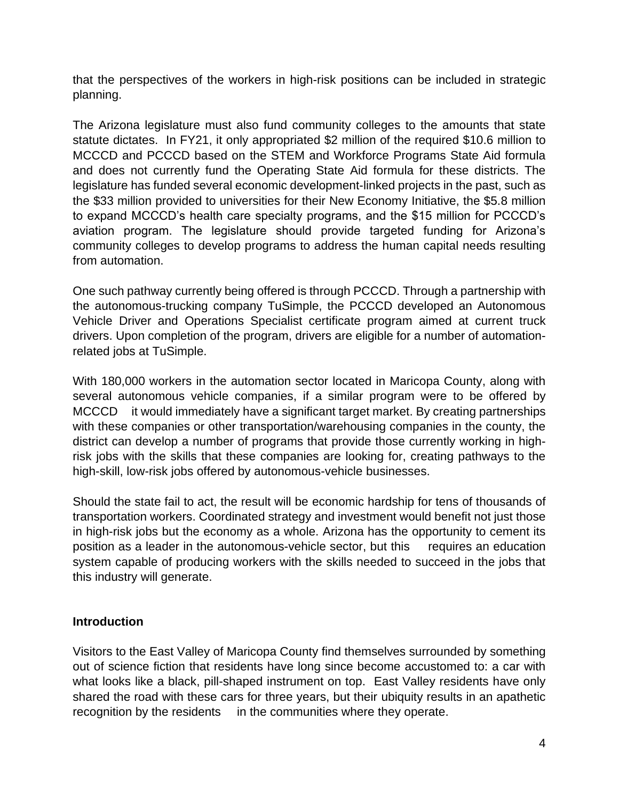that the perspectives of the workers in high-risk positions can be included in strategic planning.

The Arizona legislature must also fund community colleges to the amounts that state statute dictates. In FY21, it only appropriated \$2 million of the required \$10.6 million to MCCCD and PCCCD based on the STEM and Workforce Programs State Aid formula and does not currently fund the Operating State Aid formula for these districts. The legislature has funded several economic development-linked projects in the past, such as the \$33 million provided to universities for their New Economy Initiative, the \$5.8 million to expand MCCCD's health care specialty programs, and the \$15 million for PCCCD's aviation program. The legislature should provide targeted funding for Arizona's community colleges to develop programs to address the human capital needs resulting from automation.

One such pathway currently being offered is through PCCCD. Through a partnership with the autonomous-trucking company TuSimple, the PCCCD developed an Autonomous Vehicle Driver and Operations Specialist certificate program aimed at current truck drivers. Upon completion of the program, drivers are eligible for a number of automationrelated jobs at TuSimple.

With 180,000 workers in the automation sector located in Maricopa County, along with several autonomous vehicle companies, if a similar program were to be offered by MCCCD it would immediately have a significant target market. By creating partnerships with these companies or other transportation/warehousing companies in the county, the district can develop a number of programs that provide those currently working in highrisk jobs with the skills that these companies are looking for, creating pathways to the high-skill, low-risk jobs offered by autonomous-vehicle businesses.

Should the state fail to act, the result will be economic hardship for tens of thousands of transportation workers. Coordinated strategy and investment would benefit not just those in high-risk jobs but the economy as a whole. Arizona has the opportunity to cement its position as a leader in the autonomous-vehicle sector, but this requires an education system capable of producing workers with the skills needed to succeed in the jobs that this industry will generate.

#### **Introduction**

Visitors to the East Valley of Maricopa County find themselves surrounded by something out of science fiction that residents have long since become accustomed to: a car with what looks like a black, pill-shaped instrument on top. East Valley residents have only shared the road with these cars for three years, but their ubiquity results in an apathetic recognition by the residents in the communities where they operate.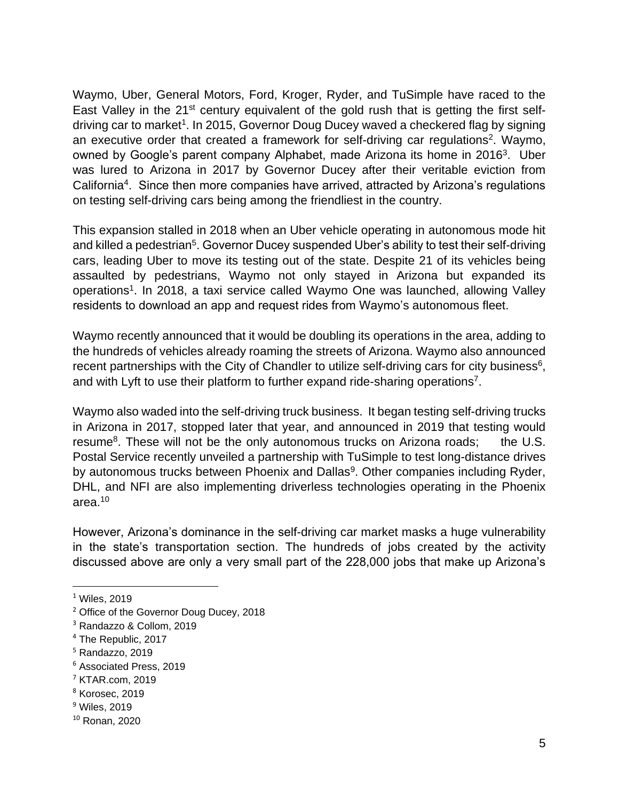Waymo, Uber, General Motors, Ford, Kroger, Ryder, and TuSimple have raced to the East Valley in the 21<sup>st</sup> century equivalent of the gold rush that is getting the first selfdriving car to market<sup>1</sup>. In 2015, Governor Doug Ducey waved a checkered flag by signing an executive order that created a framework for self-driving car regulations<sup>2</sup>. Waymo, owned by Google's parent company Alphabet, made Arizona its home in 2016<sup>3</sup>. Uber was lured to Arizona in 2017 by Governor Ducey after their veritable eviction from California<sup>4</sup>. Since then more companies have arrived, attracted by Arizona's regulations on testing self-driving cars being among the friendliest in the country.

This expansion stalled in 2018 when an Uber vehicle operating in autonomous mode hit and killed a pedestrian<sup>5</sup>. Governor Ducey suspended Uber's ability to test their self-driving cars, leading Uber to move its testing out of the state. Despite 21 of its vehicles being assaulted by pedestrians, Waymo not only stayed in Arizona but expanded its operations<sup>1</sup>. In 2018, a taxi service called Waymo One was launched, allowing Valley residents to download an app and request rides from Waymo's autonomous fleet.

Waymo recently announced that it would be doubling its operations in the area, adding to the hundreds of vehicles already roaming the streets of Arizona. Waymo also announced recent partnerships with the City of Chandler to utilize self-driving cars for city business<sup>6</sup>, and with Lyft to use their platform to further expand ride-sharing operations<sup>7</sup>.

Waymo also waded into the self-driving truck business. It began testing self-driving trucks in Arizona in 2017, stopped later that year, and announced in 2019 that testing would resume<sup>8</sup>. These will not be the only autonomous trucks on Arizona roads; the U.S. Postal Service recently unveiled a partnership with TuSimple to test long-distance drives by autonomous trucks between Phoenix and Dallas<sup>9</sup>. Other companies including Ryder, DHL, and NFI are also implementing driverless technologies operating in the Phoenix area.<sup>10</sup>

However, Arizona's dominance in the self-driving car market masks a huge vulnerability in the state's transportation section. The hundreds of jobs created by the activity discussed above are only a very small part of the 228,000 jobs that make up Arizona's

 $<sup>1</sup>$  Wiles, 2019</sup>

<sup>&</sup>lt;sup>2</sup> Office of the Governor Doug Ducey, 2018

<sup>3</sup> Randazzo & Collom, 2019

<sup>4</sup> The Republic, 2017

<sup>5</sup> Randazzo, 2019

<sup>6</sup> Associated Press, 2019

 $<sup>7</sup>$  KTAR.com, 2019</sup>

<sup>8</sup> Korosec, 2019

<sup>&</sup>lt;sup>9</sup> Wiles, 2019

<sup>10</sup> Ronan, 2020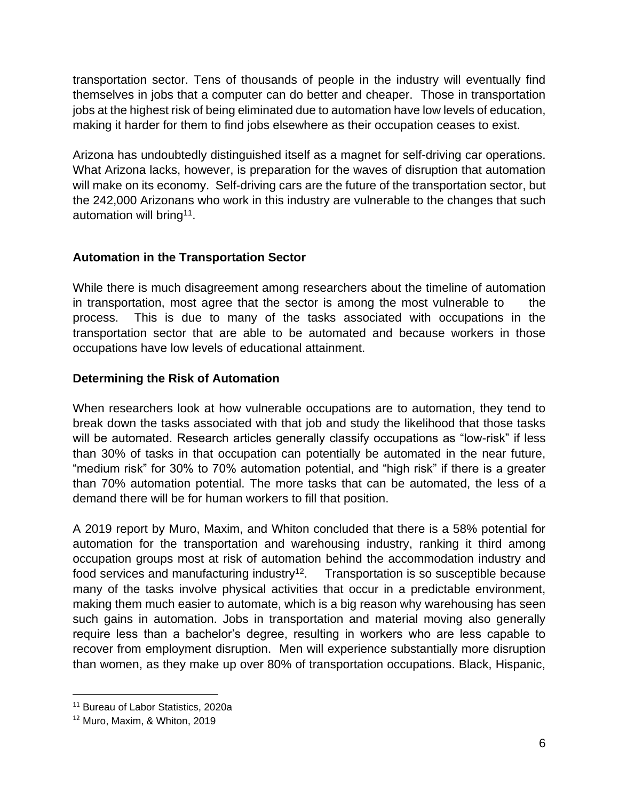transportation sector. Tens of thousands of people in the industry will eventually find themselves in jobs that a computer can do better and cheaper. Those in transportation jobs at the highest risk of being eliminated due to automation have low levels of education, making it harder for them to find jobs elsewhere as their occupation ceases to exist.

Arizona has undoubtedly distinguished itself as a magnet for self-driving car operations. What Arizona lacks, however, is preparation for the waves of disruption that automation will make on its economy. Self-driving cars are the future of the transportation sector, but the 242,000 Arizonans who work in this industry are vulnerable to the changes that such automation will bring<sup>11</sup>.

# **Automation in the Transportation Sector**

While there is much disagreement among researchers about the timeline of automation in transportation, most agree that the sector is among the most vulnerable to the process. This is due to many of the tasks associated with occupations in the transportation sector that are able to be automated and because workers in those occupations have low levels of educational attainment.

# **Determining the Risk of Automation**

When researchers look at how vulnerable occupations are to automation, they tend to break down the tasks associated with that job and study the likelihood that those tasks will be automated. Research articles generally classify occupations as "low-risk" if less than 30% of tasks in that occupation can potentially be automated in the near future, "medium risk" for 30% to 70% automation potential, and "high risk" if there is a greater than 70% automation potential. The more tasks that can be automated, the less of a demand there will be for human workers to fill that position.

A 2019 report by Muro, Maxim, and Whiton concluded that there is a 58% potential for automation for the transportation and warehousing industry, ranking it third among occupation groups most at risk of automation behind the accommodation industry and food services and manufacturing industry<sup>12</sup>. Transportation is so susceptible because many of the tasks involve physical activities that occur in a predictable environment, making them much easier to automate, which is a big reason why warehousing has seen such gains in automation. Jobs in transportation and material moving also generally require less than a bachelor's degree, resulting in workers who are less capable to recover from employment disruption. Men will experience substantially more disruption than women, as they make up over 80% of transportation occupations. Black, Hispanic,

<sup>&</sup>lt;sup>11</sup> Bureau of Labor Statistics, 2020a

<sup>12</sup> Muro, Maxim, & Whiton, 2019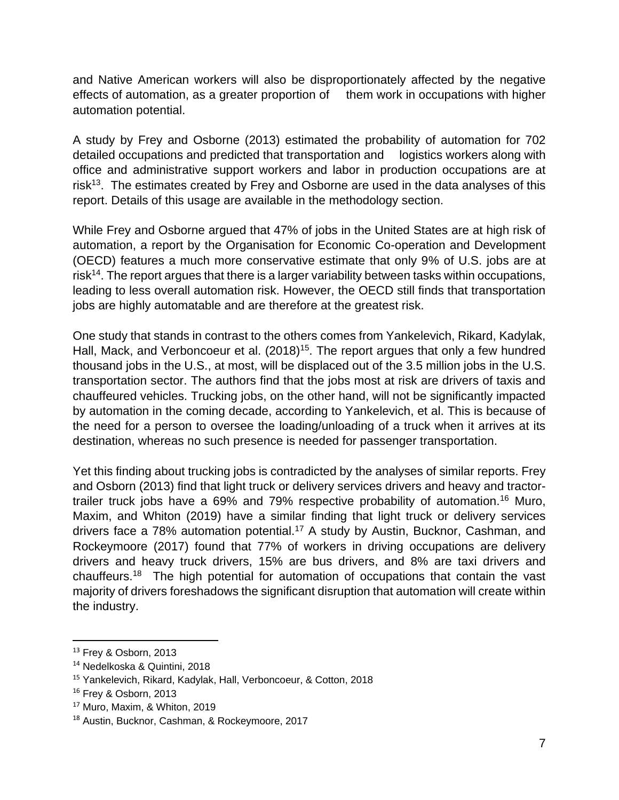and Native American workers will also be disproportionately affected by the negative effects of automation, as a greater proportion of them work in occupations with higher automation potential.

A study by Frey and Osborne (2013) estimated the probability of automation for 702 detailed occupations and predicted that transportation and logistics workers along with office and administrative support workers and labor in production occupations are at risk<sup>13</sup>. The estimates created by Frey and Osborne are used in the data analyses of this report. Details of this usage are available in the methodology section.

While Frey and Osborne argued that 47% of jobs in the United States are at high risk of automation, a report by the Organisation for Economic Co-operation and Development (OECD) features a much more conservative estimate that only 9% of U.S. jobs are at risk<sup>14</sup>. The report argues that there is a larger variability between tasks within occupations, leading to less overall automation risk. However, the OECD still finds that transportation jobs are highly automatable and are therefore at the greatest risk.

One study that stands in contrast to the others comes from Yankelevich, Rikard, Kadylak, Hall, Mack, and Verboncoeur et al. (2018)<sup>15</sup>. The report argues that only a few hundred thousand jobs in the U.S., at most, will be displaced out of the 3.5 million jobs in the U.S. transportation sector. The authors find that the jobs most at risk are drivers of taxis and chauffeured vehicles. Trucking jobs, on the other hand, will not be significantly impacted by automation in the coming decade, according to Yankelevich, et al. This is because of the need for a person to oversee the loading/unloading of a truck when it arrives at its destination, whereas no such presence is needed for passenger transportation.

Yet this finding about trucking jobs is contradicted by the analyses of similar reports. Frey and Osborn (2013) find that light truck or delivery services drivers and heavy and tractortrailer truck jobs have a 69% and 79% respective probability of automation.<sup>16</sup> Muro, Maxim, and Whiton (2019) have a similar finding that light truck or delivery services drivers face a 78% automation potential.<sup>17</sup> A study by Austin, Bucknor, Cashman, and Rockeymoore (2017) found that 77% of workers in driving occupations are delivery drivers and heavy truck drivers, 15% are bus drivers, and 8% are taxi drivers and chauffeurs.<sup>18</sup> The high potential for automation of occupations that contain the vast majority of drivers foreshadows the significant disruption that automation will create within the industry.

<sup>&</sup>lt;sup>13</sup> Frey & Osborn, 2013

<sup>14</sup> Nedelkoska & Quintini, 2018

<sup>15</sup> Yankelevich, Rikard, Kadylak, Hall, Verboncoeur, & Cotton, 2018

<sup>&</sup>lt;sup>16</sup> Frey & Osborn, 2013

<sup>17</sup> Muro, Maxim, & Whiton, 2019

<sup>18</sup> Austin, Bucknor, Cashman, & Rockeymoore, 2017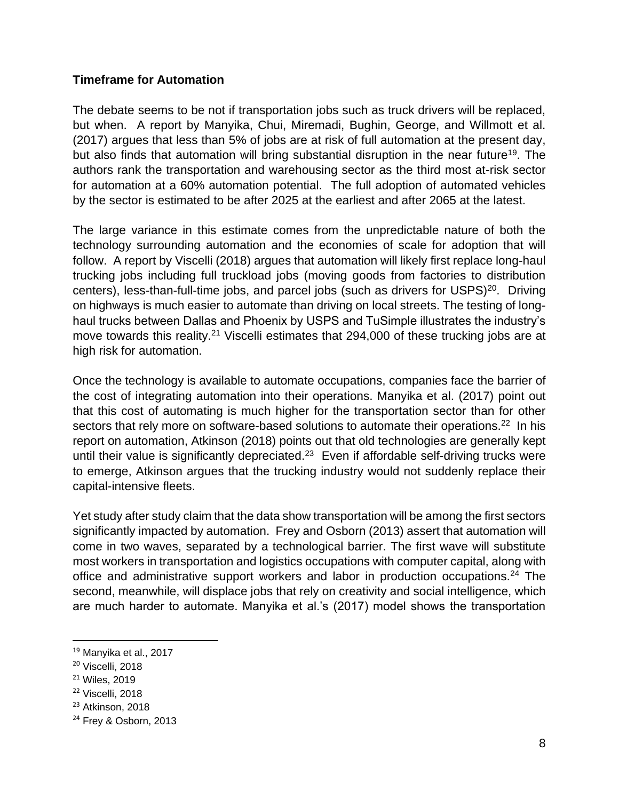#### **Timeframe for Automation**

The debate seems to be not if transportation jobs such as truck drivers will be replaced, but when. A report by Manyika, Chui, Miremadi, Bughin, George, and Willmott et al. (2017) argues that less than 5% of jobs are at risk of full automation at the present day, but also finds that automation will bring substantial disruption in the near future<sup>19</sup>. The authors rank the transportation and warehousing sector as the third most at-risk sector for automation at a 60% automation potential. The full adoption of automated vehicles by the sector is estimated to be after 2025 at the earliest and after 2065 at the latest.

The large variance in this estimate comes from the unpredictable nature of both the technology surrounding automation and the economies of scale for adoption that will follow. A report by Viscelli (2018) argues that automation will likely first replace long-haul trucking jobs including full truckload jobs (moving goods from factories to distribution centers), less-than-full-time jobs, and parcel jobs (such as drivers for USPS)<sup>20</sup>. Driving on highways is much easier to automate than driving on local streets. The testing of longhaul trucks between Dallas and Phoenix by USPS and TuSimple illustrates the industry's move towards this reality.<sup>21</sup> Viscelli estimates that 294,000 of these trucking jobs are at high risk for automation.

Once the technology is available to automate occupations, companies face the barrier of the cost of integrating automation into their operations. Manyika et al. (2017) point out that this cost of automating is much higher for the transportation sector than for other sectors that rely more on software-based solutions to automate their operations.<sup>22</sup> In his report on automation, Atkinson (2018) points out that old technologies are generally kept until their value is significantly depreciated.<sup>23</sup> Even if affordable self-driving trucks were to emerge, Atkinson argues that the trucking industry would not suddenly replace their capital-intensive fleets.

Yet study after study claim that the data show transportation will be among the first sectors significantly impacted by automation. Frey and Osborn (2013) assert that automation will come in two waves, separated by a technological barrier. The first wave will substitute most workers in transportation and logistics occupations with computer capital, along with office and administrative support workers and labor in production occupations.<sup>24</sup> The second, meanwhile, will displace jobs that rely on creativity and social intelligence, which are much harder to automate. Manyika et al.'s (2017) model shows the transportation

<sup>19</sup> Manyika et al., 2017

<sup>&</sup>lt;sup>20</sup> Viscelli, 2018

<sup>21</sup> Wiles, 2019

<sup>22</sup> Viscelli, 2018

<sup>&</sup>lt;sup>23</sup> Atkinson, 2018

<sup>&</sup>lt;sup>24</sup> Frey & Osborn, 2013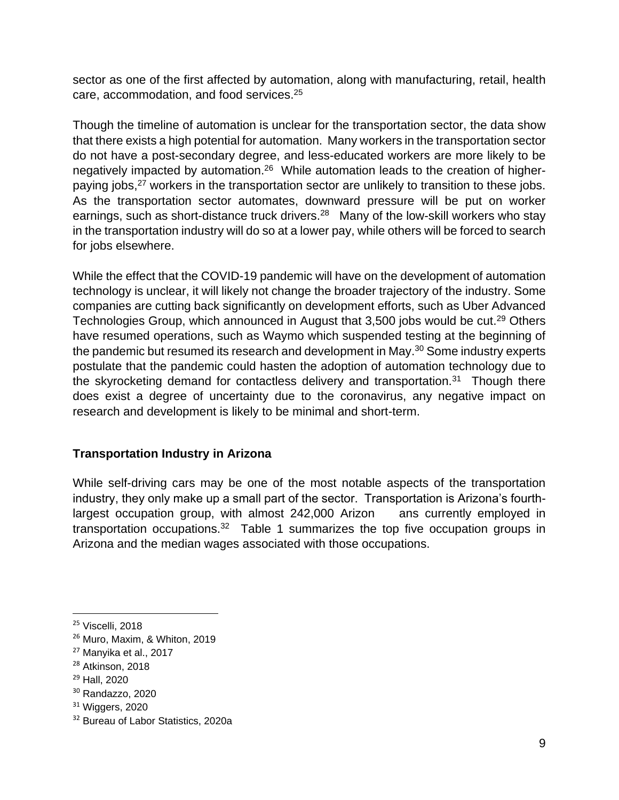sector as one of the first affected by automation, along with manufacturing, retail, health care, accommodation, and food services.<sup>25</sup>

Though the timeline of automation is unclear for the transportation sector, the data show that there exists a high potential for automation. Many workers in the transportation sector do not have a post-secondary degree, and less-educated workers are more likely to be negatively impacted by automation.<sup>26</sup> While automation leads to the creation of higherpaying jobs,<sup>27</sup> workers in the transportation sector are unlikely to transition to these jobs. As the transportation sector automates, downward pressure will be put on worker earnings, such as short-distance truck drivers.<sup>28</sup> Many of the low-skill workers who stay in the transportation industry will do so at a lower pay, while others will be forced to search for jobs elsewhere.

While the effect that the COVID-19 pandemic will have on the development of automation technology is unclear, it will likely not change the broader trajectory of the industry. Some companies are cutting back significantly on development efforts, such as Uber Advanced Technologies Group, which announced in August that 3,500 jobs would be cut.<sup>29</sup> Others have resumed operations, such as Waymo which suspended testing at the beginning of the pandemic but resumed its research and development in May.<sup>30</sup> Some industry experts postulate that the pandemic could hasten the adoption of automation technology due to the skyrocketing demand for contactless delivery and transportation.<sup>31</sup> Though there does exist a degree of uncertainty due to the coronavirus, any negative impact on research and development is likely to be minimal and short-term.

#### **Transportation Industry in Arizona**

While self-driving cars may be one of the most notable aspects of the transportation industry, they only make up a small part of the sector. Transportation is Arizona's fourthlargest occupation group, with almost 242,000 Arizon ans currently employed in transportation occupations.<sup>32</sup> Table 1 summarizes the top five occupation groups in Arizona and the median wages associated with those occupations.

<sup>29</sup> Hall, 2020

<sup>&</sup>lt;sup>25</sup> Viscelli, 2018

<sup>26</sup> Muro, Maxim, & Whiton, 2019

<sup>27</sup> Manyika et al., 2017

<sup>&</sup>lt;sup>28</sup> Atkinson, 2018

<sup>30</sup> Randazzo, 2020

 $31$  Wiggers, 2020

<sup>&</sup>lt;sup>32</sup> Bureau of Labor Statistics, 2020a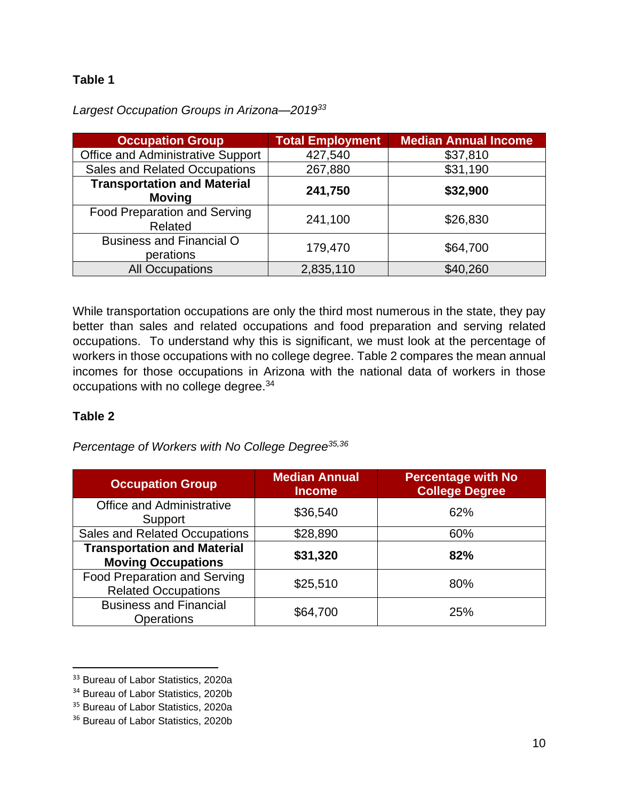# **Table 1**

| <b>Occupation Group</b>                             | <b>Total Employment</b> | <b>Median Annual Income</b> |
|-----------------------------------------------------|-------------------------|-----------------------------|
| Office and Administrative Support                   | 427,540                 | \$37,810                    |
| <b>Sales and Related Occupations</b>                | 267,880                 | \$31,190                    |
| <b>Transportation and Material</b><br><b>Moving</b> | 241,750                 | \$32,900                    |
| <b>Food Preparation and Serving</b><br>Related      | 241,100                 | \$26,830                    |
| <b>Business and Financial O</b><br>perations        | 179,470                 | \$64,700                    |
| <b>All Occupations</b>                              | 2,835,110               | \$40,260                    |

*Largest Occupation Groups in Arizona—2019<sup>33</sup>*

While transportation occupations are only the third most numerous in the state, they pay better than sales and related occupations and food preparation and serving related occupations. To understand why this is significant, we must look at the percentage of workers in those occupations with no college degree. Table 2 compares the mean annual incomes for those occupations in Arizona with the national data of workers in those occupations with no college degree.<sup>34</sup>

#### **Table 2**

*Percentage of Workers with No College Degree35,36*

| <b>Occupation Group</b>                                           | <b>Median Annual</b><br><b>Income</b> | <b>Percentage with No</b><br><b>College Degree</b> |
|-------------------------------------------------------------------|---------------------------------------|----------------------------------------------------|
| <b>Office and Administrative</b><br>Support                       | \$36,540                              | 62%                                                |
| <b>Sales and Related Occupations</b>                              | \$28,890                              | 60%                                                |
| <b>Transportation and Material</b><br><b>Moving Occupations</b>   | \$31,320                              | 82%                                                |
| <b>Food Preparation and Serving</b><br><b>Related Occupations</b> | \$25,510                              | 80%                                                |
| <b>Business and Financial</b><br><b>Operations</b>                | \$64,700                              | 25%                                                |

<sup>&</sup>lt;sup>33</sup> Bureau of Labor Statistics, 2020a

<sup>&</sup>lt;sup>34</sup> Bureau of Labor Statistics, 2020b

<sup>&</sup>lt;sup>35</sup> Bureau of Labor Statistics, 2020a

<sup>&</sup>lt;sup>36</sup> Bureau of Labor Statistics, 2020b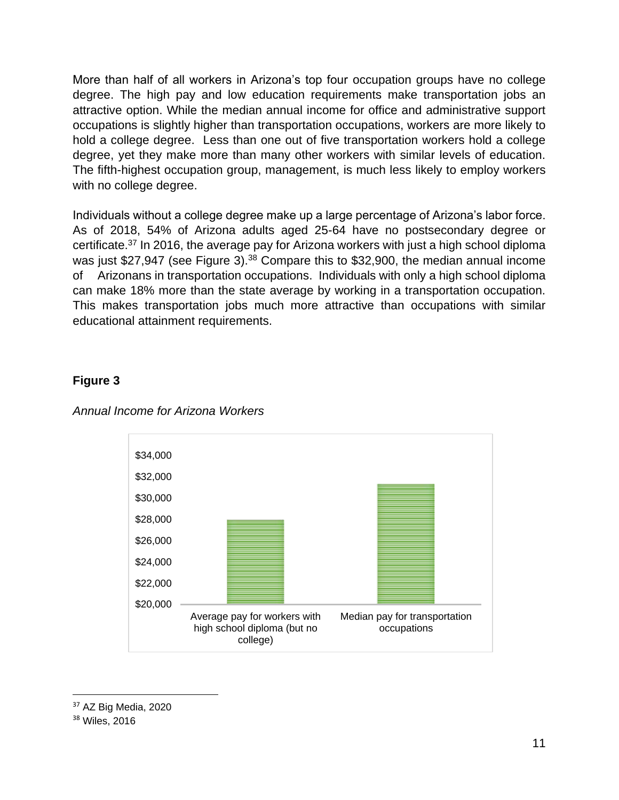More than half of all workers in Arizona's top four occupation groups have no college degree. The high pay and low education requirements make transportation jobs an attractive option. While the median annual income for office and administrative support occupations is slightly higher than transportation occupations, workers are more likely to hold a college degree. Less than one out of five transportation workers hold a college degree, yet they make more than many other workers with similar levels of education. The fifth-highest occupation group, management, is much less likely to employ workers with no college degree.

Individuals without a college degree make up a large percentage of Arizona's labor force. As of 2018, 54% of Arizona adults aged 25-64 have no postsecondary degree or certificate.<sup>37</sup> In 2016, the average pay for Arizona workers with just a high school diploma was just \$27,947 (see Figure 3).<sup>38</sup> Compare this to \$32,900, the median annual income of Arizonans in transportation occupations. Individuals with only a high school diploma can make 18% more than the state average by working in a transportation occupation. This makes transportation jobs much more attractive than occupations with similar educational attainment requirements.

# **Figure 3**



*Annual Income for Arizona Workers*

<sup>37</sup> AZ Big Media, 2020

<sup>38</sup> Wiles, 2016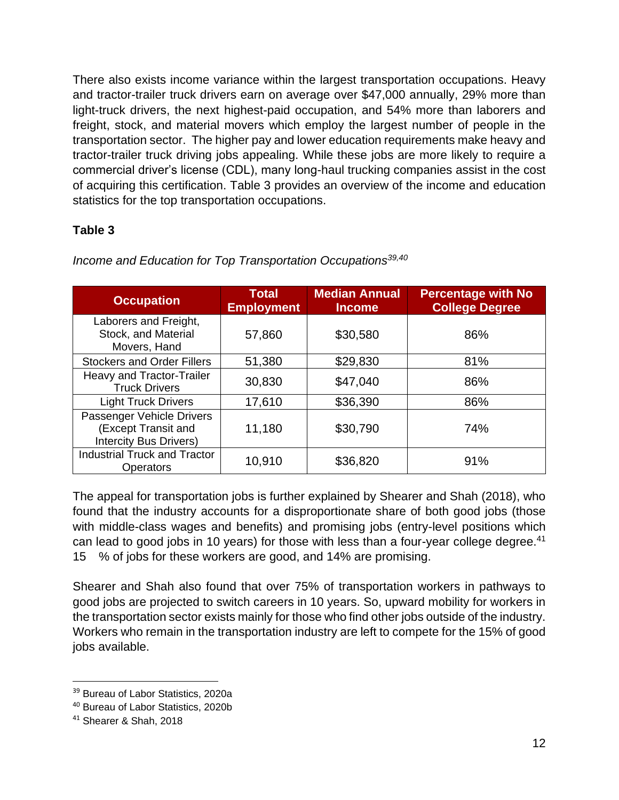There also exists income variance within the largest transportation occupations. Heavy and tractor-trailer truck drivers earn on average over \$47,000 annually, 29% more than light-truck drivers, the next highest-paid occupation, and 54% more than laborers and freight, stock, and material movers which employ the largest number of people in the transportation sector. The higher pay and lower education requirements make heavy and tractor-trailer truck driving jobs appealing. While these jobs are more likely to require a commercial driver's license (CDL), many long-haul trucking companies assist in the cost of acquiring this certification. Table 3 provides an overview of the income and education statistics for the top transportation occupations.

# **Table 3**

| <b>Occupation</b>                                                                 | <b>Total</b><br><b>Employment</b> | <b>Median Annual</b><br><b>Income</b> | <b>Percentage with No</b><br><b>College Degree</b> |
|-----------------------------------------------------------------------------------|-----------------------------------|---------------------------------------|----------------------------------------------------|
| Laborers and Freight,<br>Stock, and Material<br>Movers, Hand                      | 57,860                            | \$30,580                              | 86%                                                |
| <b>Stockers and Order Fillers</b>                                                 | 51,380                            | \$29,830                              | 81%                                                |
| Heavy and Tractor-Trailer<br><b>Truck Drivers</b>                                 | 30,830                            | \$47,040                              | 86%                                                |
| <b>Light Truck Drivers</b>                                                        | 17,610                            | \$36,390                              | 86%                                                |
| Passenger Vehicle Drivers<br>(Except Transit and<br><b>Intercity Bus Drivers)</b> | 11,180                            | \$30,790                              | 74%                                                |
| <b>Industrial Truck and Tractor</b><br><b>Operators</b>                           | 10,910                            | \$36,820                              | 91%                                                |

*Income and Education for Top Transportation Occupations39,40*

The appeal for transportation jobs is further explained by Shearer and Shah (2018), who found that the industry accounts for a disproportionate share of both good jobs (those with middle-class wages and benefits) and promising jobs (entry-level positions which can lead to good jobs in 10 years) for those with less than a four-year college degree.<sup>41</sup> 15 % of jobs for these workers are good, and 14% are promising.

Shearer and Shah also found that over 75% of transportation workers in pathways to good jobs are projected to switch careers in 10 years. So, upward mobility for workers in the transportation sector exists mainly for those who find other jobs outside of the industry. Workers who remain in the transportation industry are left to compete for the 15% of good jobs available.

<sup>&</sup>lt;sup>39</sup> Bureau of Labor Statistics, 2020a

<sup>40</sup> Bureau of Labor Statistics, 2020b

<sup>41</sup> Shearer & Shah, 2018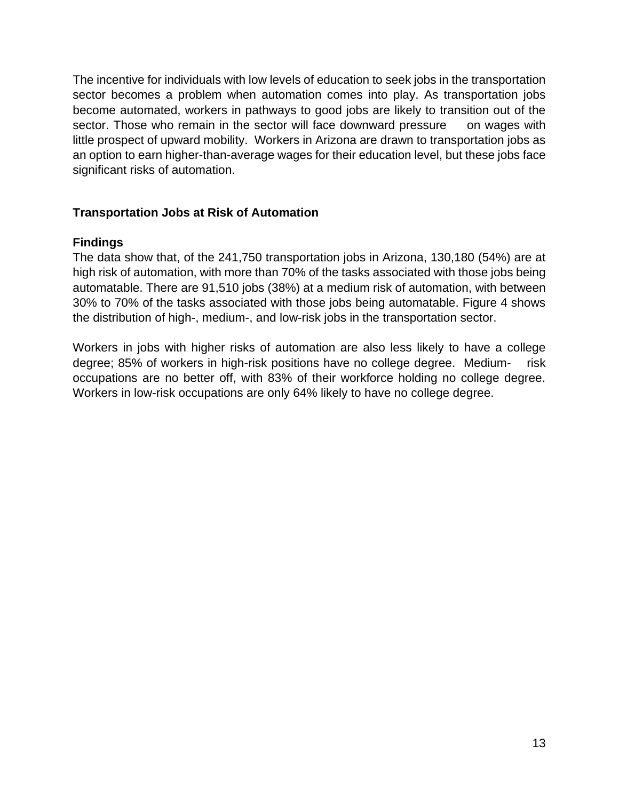The incentive for individuals with low levels of education to seek jobs in the transportation sector becomes a problem when automation comes into play. As transportation jobs become automated, workers in pathways to good jobs are likely to transition out of the sector. Those who remain in the sector will face downward pressure on wages with little prospect of upward mobility. Workers in Arizona are drawn to transportation jobs as an option to earn higher-than-average wages for their education level, but these jobs face significant risks of automation.

#### **Transportation Jobs at Risk of Automation**

#### **Findings**

The data show that, of the 241,750 transportation jobs in Arizona, 130,180 (54%) are at high risk of automation, with more than 70% of the tasks associated with those jobs being automatable. There are 91,510 jobs (38%) at a medium risk of automation, with between 30% to 70% of the tasks associated with those jobs being automatable. Figure 4 shows the distribution of high-, medium-, and low-risk jobs in the transportation sector.

Workers in jobs with higher risks of automation are also less likely to have a college degree; 85% of workers in high-risk positions have no college degree. Medium- risk occupations are no better off, with 83% of their workforce holding no college degree. Workers in low-risk occupations are only 64% likely to have no college degree.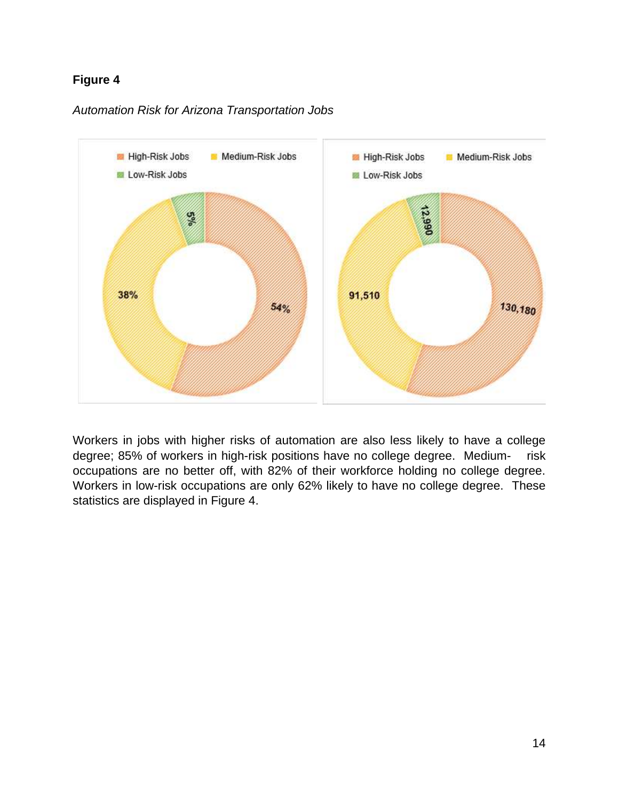# **Figure 4**



*Automation Risk for Arizona Transportation Jobs*

Workers in jobs with higher risks of automation are also less likely to have a college degree; 85% of workers in high-risk positions have no college degree. Medium- risk occupations are no better off, with 82% of their workforce holding no college degree. Workers in low-risk occupations are only 62% likely to have no college degree. These statistics are displayed in Figure 4.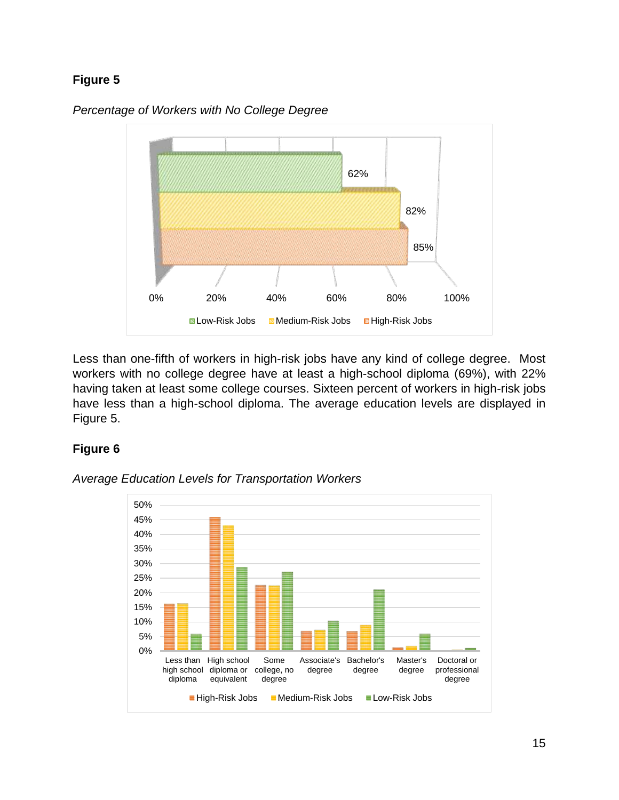# **Figure 5**



*Percentage of Workers with No College Degree*

Less than one-fifth of workers in high-risk jobs have any kind of college degree. Most workers with no college degree have at least a high-school diploma (69%), with 22% having taken at least some college courses. Sixteen percent of workers in high-risk jobs have less than a high-school diploma. The average education levels are displayed in Figure 5.

# **Figure 6**



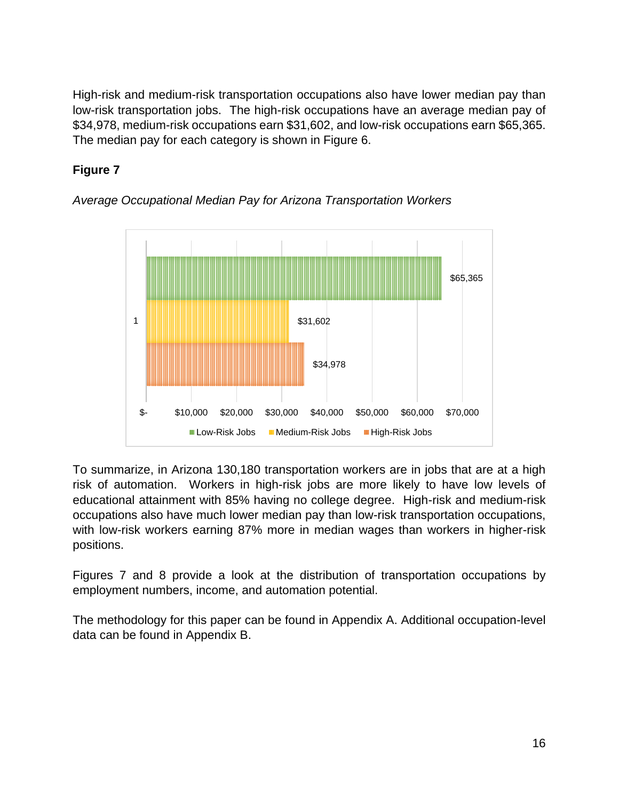High-risk and medium-risk transportation occupations also have lower median pay than low-risk transportation jobs. The high-risk occupations have an average median pay of \$34,978, medium-risk occupations earn \$31,602, and low-risk occupations earn \$65,365. The median pay for each category is shown in Figure 6.

# **Figure 7**



*Average Occupational Median Pay for Arizona Transportation Workers*

To summarize, in Arizona 130,180 transportation workers are in jobs that are at a high risk of automation. Workers in high-risk jobs are more likely to have low levels of educational attainment with 85% having no college degree. High-risk and medium-risk occupations also have much lower median pay than low-risk transportation occupations, with low-risk workers earning 87% more in median wages than workers in higher-risk positions.

Figures 7 and 8 provide a look at the distribution of transportation occupations by employment numbers, income, and automation potential.

The methodology for this paper can be found in Appendix A. Additional occupation-level data can be found in Appendix B.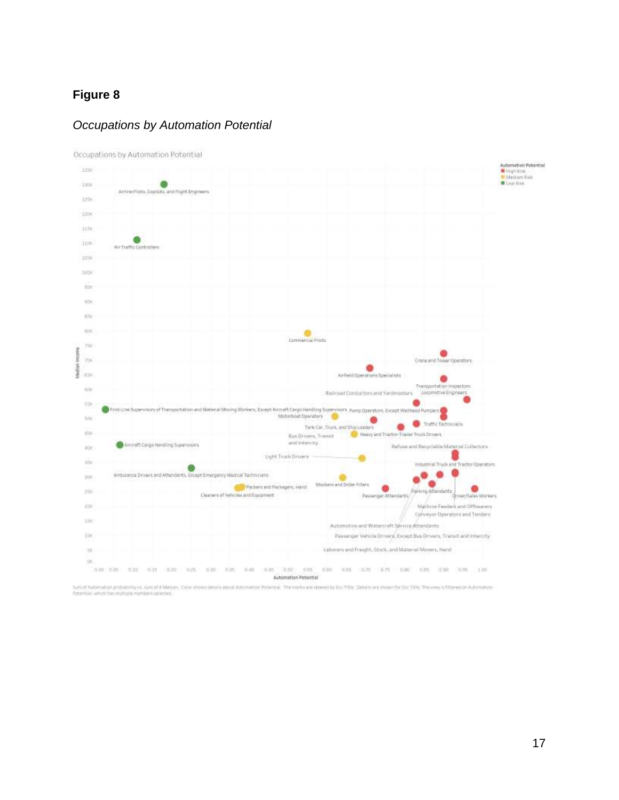#### **Figure 8**

#### *Occupations by Automation Potential*



Occupations by Automation Potential

Sympt Automation probability vs. sum of A Median. Citiz store details about Automation Potensis. The market are possibly Del Title. Details are states for Title. The view is filteral on Automation<br>Extended which has multip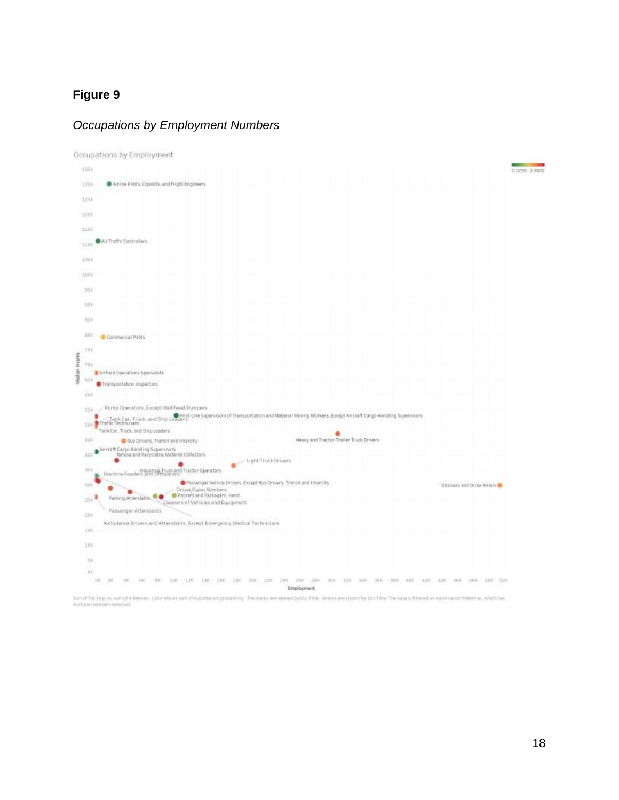# **Figure 9**

#### *Occupations by Employment Numbers*



Sum of Tet Empte, sum of A Melian, Color shows sunt of Automation probability. The manus are takend by Doc File. Details are shown for Doc Title. The means in filtered on Automation Peterstae, enterties, enterties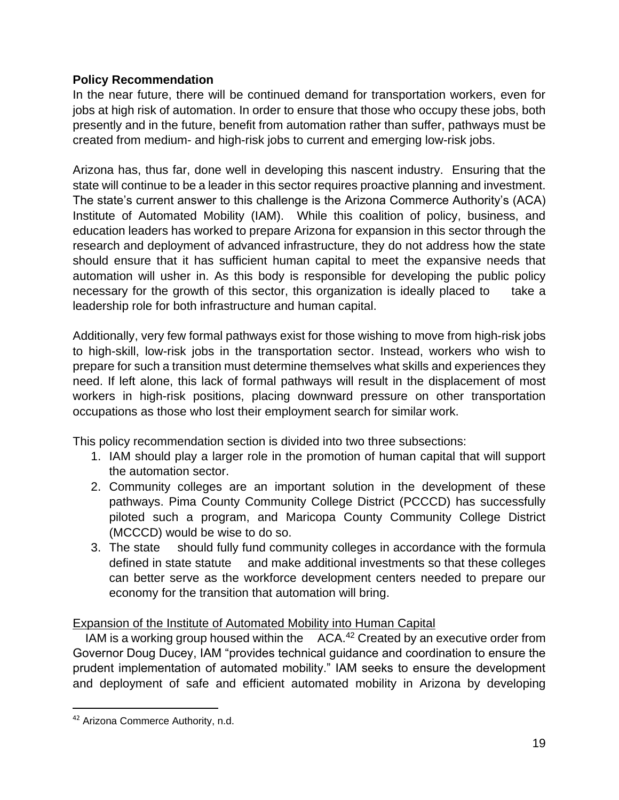#### **Policy Recommendation**

In the near future, there will be continued demand for transportation workers, even for jobs at high risk of automation. In order to ensure that those who occupy these jobs, both presently and in the future, benefit from automation rather than suffer, pathways must be created from medium- and high-risk jobs to current and emerging low-risk jobs.

Arizona has, thus far, done well in developing this nascent industry. Ensuring that the state will continue to be a leader in this sector requires proactive planning and investment. The state's current answer to this challenge is the Arizona Commerce Authority's (ACA) Institute of Automated Mobility (IAM). While this coalition of policy, business, and education leaders has worked to prepare Arizona for expansion in this sector through the research and deployment of advanced infrastructure, they do not address how the state should ensure that it has sufficient human capital to meet the expansive needs that automation will usher in. As this body is responsible for developing the public policy necessary for the growth of this sector, this organization is ideally placed to take a leadership role for both infrastructure and human capital.

Additionally, very few formal pathways exist for those wishing to move from high-risk jobs to high-skill, low-risk jobs in the transportation sector. Instead, workers who wish to prepare for such a transition must determine themselves what skills and experiences they need. If left alone, this lack of formal pathways will result in the displacement of most workers in high-risk positions, placing downward pressure on other transportation occupations as those who lost their employment search for similar work.

This policy recommendation section is divided into two three subsections:

- 1. IAM should play a larger role in the promotion of human capital that will support the automation sector.
- 2. Community colleges are an important solution in the development of these pathways. Pima County Community College District (PCCCD) has successfully piloted such a program, and Maricopa County Community College District (MCCCD) would be wise to do so.
- 3. The state should fully fund community colleges in accordance with the formula defined in state statute and make additional investments so that these colleges can better serve as the workforce development centers needed to prepare our economy for the transition that automation will bring.

#### Expansion of the Institute of Automated Mobility into Human Capital

IAM is a working group housed within the ACA.<sup>42</sup> Created by an executive order from Governor Doug Ducey, IAM "provides technical guidance and coordination to ensure the prudent implementation of automated mobility." IAM seeks to ensure the development and deployment of safe and efficient automated mobility in Arizona by developing

<sup>&</sup>lt;sup>42</sup> Arizona Commerce Authority, n.d.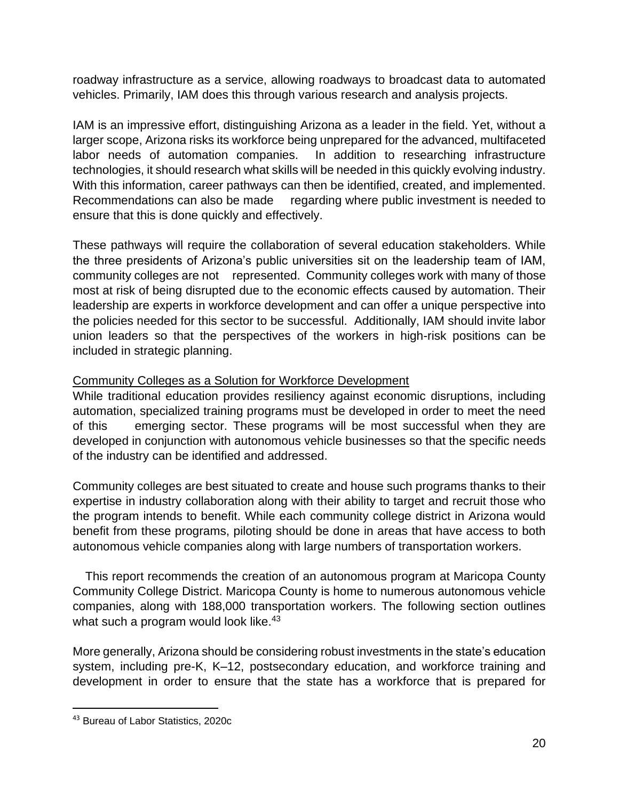roadway infrastructure as a service, allowing roadways to broadcast data to automated vehicles. Primarily, IAM does this through various research and analysis projects.

IAM is an impressive effort, distinguishing Arizona as a leader in the field. Yet, without a larger scope, Arizona risks its workforce being unprepared for the advanced, multifaceted labor needs of automation companies. In addition to researching infrastructure technologies, it should research what skills will be needed in this quickly evolving industry. With this information, career pathways can then be identified, created, and implemented. Recommendations can also be made regarding where public investment is needed to ensure that this is done quickly and effectively.

These pathways will require the collaboration of several education stakeholders. While the three presidents of Arizona's public universities sit on the leadership team of IAM, community colleges are not represented. Community colleges work with many of those most at risk of being disrupted due to the economic effects caused by automation. Their leadership are experts in workforce development and can offer a unique perspective into the policies needed for this sector to be successful. Additionally, IAM should invite labor union leaders so that the perspectives of the workers in high-risk positions can be included in strategic planning.

#### Community Colleges as a Solution for Workforce Development

While traditional education provides resiliency against economic disruptions, including automation, specialized training programs must be developed in order to meet the need of this emerging sector. These programs will be most successful when they are developed in conjunction with autonomous vehicle businesses so that the specific needs of the industry can be identified and addressed.

Community colleges are best situated to create and house such programs thanks to their expertise in industry collaboration along with their ability to target and recruit those who the program intends to benefit. While each community college district in Arizona would benefit from these programs, piloting should be done in areas that have access to both autonomous vehicle companies along with large numbers of transportation workers.

 This report recommends the creation of an autonomous program at Maricopa County Community College District. Maricopa County is home to numerous autonomous vehicle companies, along with 188,000 transportation workers. The following section outlines what such a program would look like.<sup>43</sup>

More generally, Arizona should be considering robust investments in the state's education system, including pre-K, K–12, postsecondary education, and workforce training and development in order to ensure that the state has a workforce that is prepared for

<sup>43</sup> Bureau of Labor Statistics, 2020c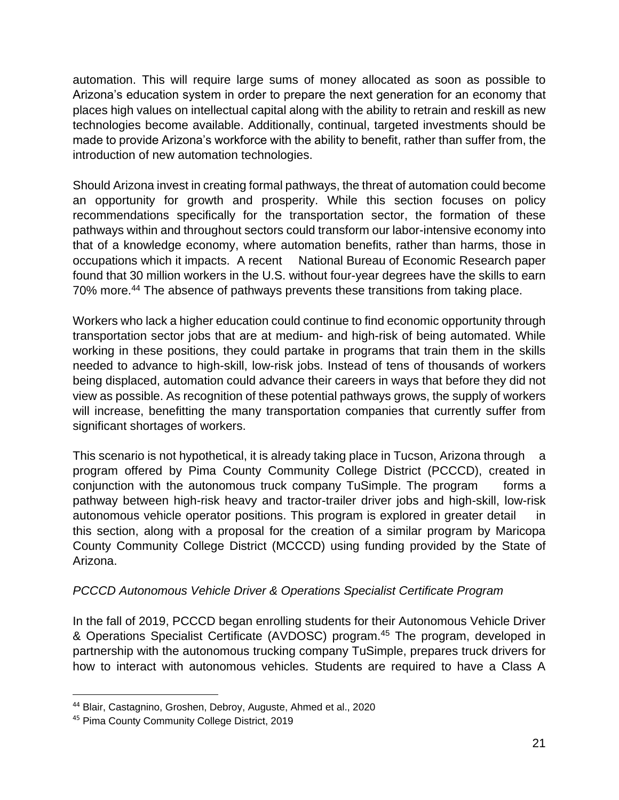automation. This will require large sums of money allocated as soon as possible to Arizona's education system in order to prepare the next generation for an economy that places high values on intellectual capital along with the ability to retrain and reskill as new technologies become available. Additionally, continual, targeted investments should be made to provide Arizona's workforce with the ability to benefit, rather than suffer from, the introduction of new automation technologies.

Should Arizona invest in creating formal pathways, the threat of automation could become an opportunity for growth and prosperity. While this section focuses on policy recommendations specifically for the transportation sector, the formation of these pathways within and throughout sectors could transform our labor-intensive economy into that of a knowledge economy, where automation benefits, rather than harms, those in occupations which it impacts. A recent National Bureau of Economic Research paper found that 30 million workers in the U.S. without four-year degrees have the skills to earn 70% more.<sup>44</sup> The absence of pathways prevents these transitions from taking place.

Workers who lack a higher education could continue to find economic opportunity through transportation sector jobs that are at medium- and high-risk of being automated. While working in these positions, they could partake in programs that train them in the skills needed to advance to high-skill, low-risk jobs. Instead of tens of thousands of workers being displaced, automation could advance their careers in ways that before they did not view as possible. As recognition of these potential pathways grows, the supply of workers will increase, benefitting the many transportation companies that currently suffer from significant shortages of workers.

This scenario is not hypothetical, it is already taking place in Tucson, Arizona through a program offered by Pima County Community College District (PCCCD), created in conjunction with the autonomous truck company TuSimple. The program forms a pathway between high-risk heavy and tractor-trailer driver jobs and high-skill, low-risk autonomous vehicle operator positions. This program is explored in greater detail in this section, along with a proposal for the creation of a similar program by Maricopa County Community College District (MCCCD) using funding provided by the State of Arizona.

#### *PCCCD Autonomous Vehicle Driver & Operations Specialist Certificate Program*

In the fall of 2019, PCCCD began enrolling students for their Autonomous Vehicle Driver & Operations Specialist Certificate (AVDOSC) program.<sup>45</sup> The program, developed in partnership with the autonomous trucking company TuSimple, prepares truck drivers for how to interact with autonomous vehicles. Students are required to have a Class A

<sup>44</sup> Blair, Castagnino, Groshen, Debroy, Auguste, Ahmed et al., 2020

<sup>45</sup> Pima County Community College District, 2019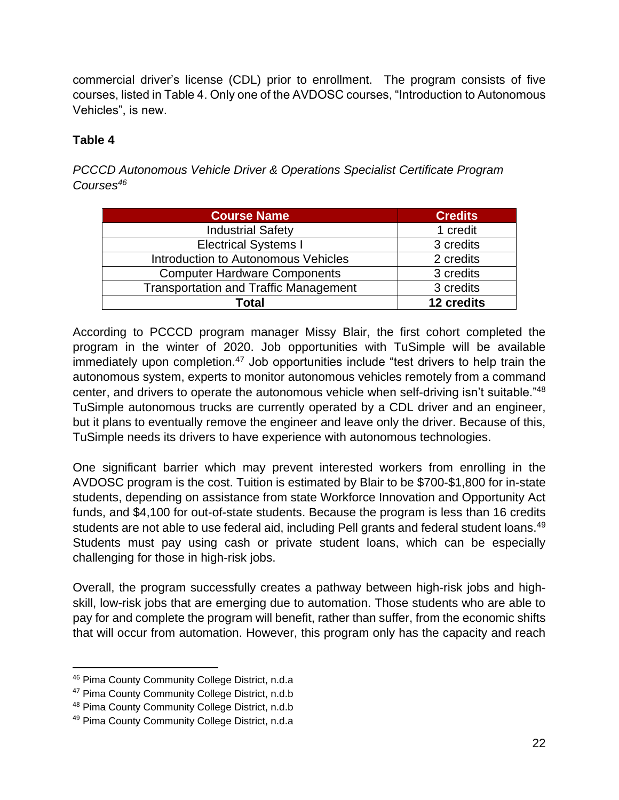commercial driver's license (CDL) prior to enrollment. The program consists of five courses, listed in Table 4. Only one of the AVDOSC courses, "Introduction to Autonomous Vehicles", is new.

### **Table 4**

*PCCCD Autonomous Vehicle Driver & Operations Specialist Certificate Program Courses<sup>46</sup>*

| <b>Course Name</b>                           | <b>Credits</b> |
|----------------------------------------------|----------------|
| <b>Industrial Safety</b>                     | 1 credit       |
| <b>Electrical Systems I</b>                  | 3 credits      |
| Introduction to Autonomous Vehicles          | 2 credits      |
| <b>Computer Hardware Components</b>          | 3 credits      |
| <b>Transportation and Traffic Management</b> | 3 credits      |
| Total                                        | 12 credits     |

According to PCCCD program manager Missy Blair, the first cohort completed the program in the winter of 2020. Job opportunities with TuSimple will be available immediately upon completion.<sup>47</sup> Job opportunities include "test drivers to help train the autonomous system, experts to monitor autonomous vehicles remotely from a command center, and drivers to operate the autonomous vehicle when self-driving isn't suitable."<sup>48</sup> TuSimple autonomous trucks are currently operated by a CDL driver and an engineer, but it plans to eventually remove the engineer and leave only the driver. Because of this, TuSimple needs its drivers to have experience with autonomous technologies.

One significant barrier which may prevent interested workers from enrolling in the AVDOSC program is the cost. Tuition is estimated by Blair to be \$700-\$1,800 for in-state students, depending on assistance from state Workforce Innovation and Opportunity Act funds, and \$4,100 for out-of-state students. Because the program is less than 16 credits students are not able to use federal aid, including Pell grants and federal student loans.<sup>49</sup> Students must pay using cash or private student loans, which can be especially challenging for those in high-risk jobs.

Overall, the program successfully creates a pathway between high-risk jobs and highskill, low-risk jobs that are emerging due to automation. Those students who are able to pay for and complete the program will benefit, rather than suffer, from the economic shifts that will occur from automation. However, this program only has the capacity and reach

<sup>46</sup> Pima County Community College District, n.d.a

<sup>&</sup>lt;sup>47</sup> Pima County Community College District, n.d.b

<sup>48</sup> Pima County Community College District, n.d.b

<sup>49</sup> Pima County Community College District, n.d.a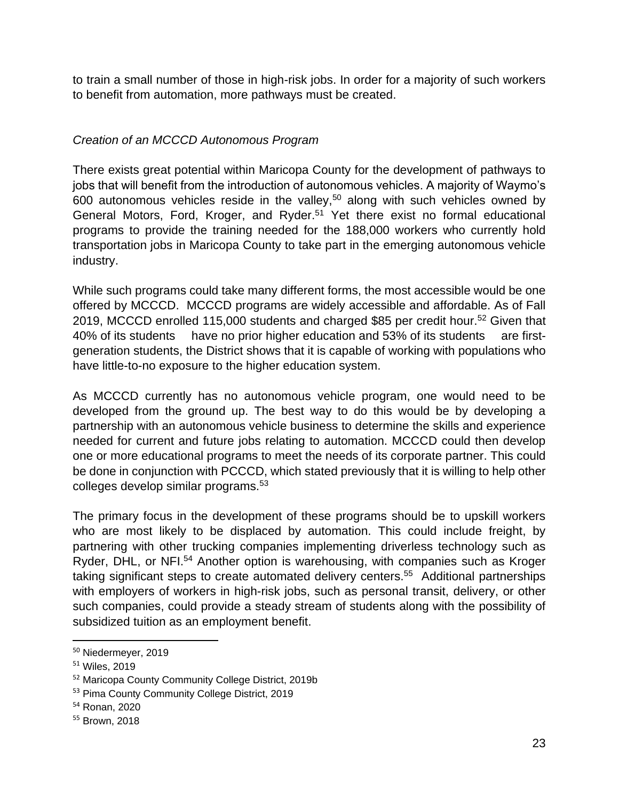to train a small number of those in high-risk jobs. In order for a majority of such workers to benefit from automation, more pathways must be created.

#### *Creation of an MCCCD Autonomous Program*

There exists great potential within Maricopa County for the development of pathways to jobs that will benefit from the introduction of autonomous vehicles. A majority of Waymo's 600 autonomous vehicles reside in the valley,<sup>50</sup> along with such vehicles owned by General Motors, Ford, Kroger, and Ryder.<sup>51</sup> Yet there exist no formal educational programs to provide the training needed for the 188,000 workers who currently hold transportation jobs in Maricopa County to take part in the emerging autonomous vehicle industry.

While such programs could take many different forms, the most accessible would be one offered by MCCCD. MCCCD programs are widely accessible and affordable. As of Fall 2019, MCCCD enrolled 115,000 students and charged \$85 per credit hour.<sup>52</sup> Given that 40% of its students have no prior higher education and 53% of its students are firstgeneration students, the District shows that it is capable of working with populations who have little-to-no exposure to the higher education system.

As MCCCD currently has no autonomous vehicle program, one would need to be developed from the ground up. The best way to do this would be by developing a partnership with an autonomous vehicle business to determine the skills and experience needed for current and future jobs relating to automation. MCCCD could then develop one or more educational programs to meet the needs of its corporate partner. This could be done in conjunction with PCCCD, which stated previously that it is willing to help other colleges develop similar programs.<sup>53</sup>

The primary focus in the development of these programs should be to upskill workers who are most likely to be displaced by automation. This could include freight, by partnering with other trucking companies implementing driverless technology such as Ryder, DHL, or NFI.<sup>54</sup> Another option is warehousing, with companies such as Kroger taking significant steps to create automated delivery centers.<sup>55</sup> Additional partnerships with employers of workers in high-risk jobs, such as personal transit, delivery, or other such companies, could provide a steady stream of students along with the possibility of subsidized tuition as an employment benefit.

<sup>50</sup> Niedermeyer, 2019

<sup>51</sup> Wiles, 2019

<sup>52</sup> Maricopa County Community College District, 2019b

<sup>53</sup> Pima County Community College District, 2019

<sup>54</sup> Ronan, 2020

<sup>55</sup> Brown, 2018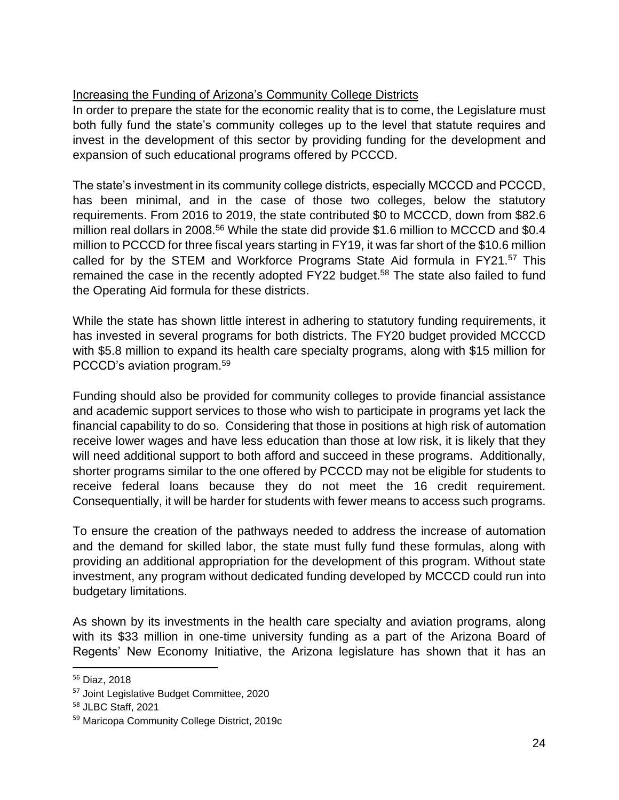# Increasing the Funding of Arizona's Community College Districts

In order to prepare the state for the economic reality that is to come, the Legislature must both fully fund the state's community colleges up to the level that statute requires and invest in the development of this sector by providing funding for the development and expansion of such educational programs offered by PCCCD.

The state's investment in its community college districts, especially MCCCD and PCCCD, has been minimal, and in the case of those two colleges, below the statutory requirements. From 2016 to 2019, the state contributed \$0 to MCCCD, down from \$82.6 million real dollars in 2008.<sup>56</sup> While the state did provide \$1.6 million to MCCCD and \$0.4 million to PCCCD for three fiscal years starting in FY19, it was far short of the \$10.6 million called for by the STEM and Workforce Programs State Aid formula in FY21.<sup>57</sup> This remained the case in the recently adopted FY22 budget.<sup>58</sup> The state also failed to fund the Operating Aid formula for these districts.

While the state has shown little interest in adhering to statutory funding requirements, it has invested in several programs for both districts. The FY20 budget provided MCCCD with \$5.8 million to expand its health care specialty programs, along with \$15 million for PCCCD's aviation program.<sup>59</sup>

Funding should also be provided for community colleges to provide financial assistance and academic support services to those who wish to participate in programs yet lack the financial capability to do so. Considering that those in positions at high risk of automation receive lower wages and have less education than those at low risk, it is likely that they will need additional support to both afford and succeed in these programs. Additionally, shorter programs similar to the one offered by PCCCD may not be eligible for students to receive federal loans because they do not meet the 16 credit requirement. Consequentially, it will be harder for students with fewer means to access such programs.

To ensure the creation of the pathways needed to address the increase of automation and the demand for skilled labor, the state must fully fund these formulas, along with providing an additional appropriation for the development of this program. Without state investment, any program without dedicated funding developed by MCCCD could run into budgetary limitations.

As shown by its investments in the health care specialty and aviation programs, along with its \$33 million in one-time university funding as a part of the Arizona Board of Regents' New Economy Initiative, the Arizona legislature has shown that it has an

<sup>56</sup> Diaz, 2018

<sup>57</sup> Joint Legislative Budget Committee, 2020

<sup>58</sup> JLBC Staff, 2021

<sup>59</sup> Maricopa Community College District, 2019c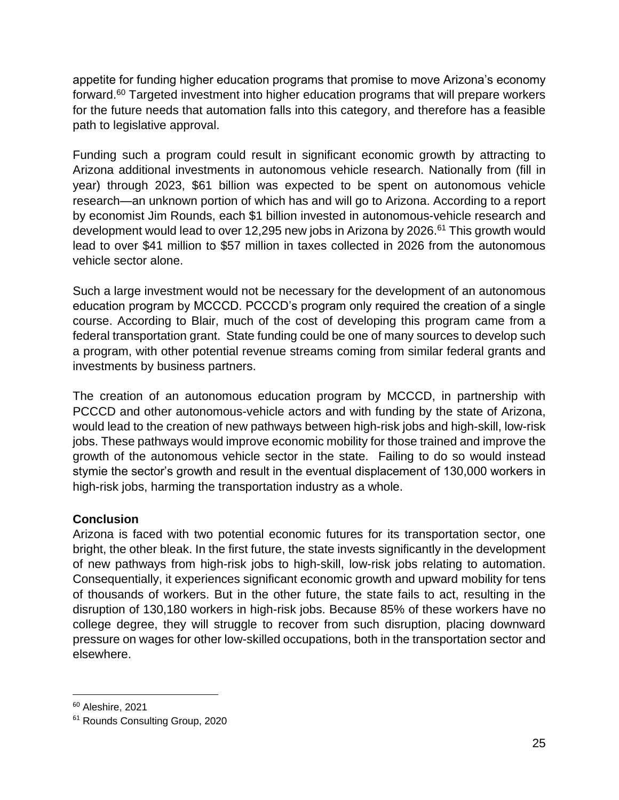appetite for funding higher education programs that promise to move Arizona's economy forward.<sup>60</sup> Targeted investment into higher education programs that will prepare workers for the future needs that automation falls into this category, and therefore has a feasible path to legislative approval.

Funding such a program could result in significant economic growth by attracting to Arizona additional investments in autonomous vehicle research. Nationally from (fill in year) through 2023, \$61 billion was expected to be spent on autonomous vehicle research—an unknown portion of which has and will go to Arizona. According to a report by economist Jim Rounds, each \$1 billion invested in autonomous-vehicle research and development would lead to over 12,295 new jobs in Arizona by 2026.<sup>61</sup> This growth would lead to over \$41 million to \$57 million in taxes collected in 2026 from the autonomous vehicle sector alone.

Such a large investment would not be necessary for the development of an autonomous education program by MCCCD. PCCCD's program only required the creation of a single course. According to Blair, much of the cost of developing this program came from a federal transportation grant. State funding could be one of many sources to develop such a program, with other potential revenue streams coming from similar federal grants and investments by business partners.

The creation of an autonomous education program by MCCCD, in partnership with PCCCD and other autonomous-vehicle actors and with funding by the state of Arizona, would lead to the creation of new pathways between high-risk jobs and high-skill, low-risk jobs. These pathways would improve economic mobility for those trained and improve the growth of the autonomous vehicle sector in the state. Failing to do so would instead stymie the sector's growth and result in the eventual displacement of 130,000 workers in high-risk jobs, harming the transportation industry as a whole.

#### **Conclusion**

Arizona is faced with two potential economic futures for its transportation sector, one bright, the other bleak. In the first future, the state invests significantly in the development of new pathways from high-risk jobs to high-skill, low-risk jobs relating to automation. Consequentially, it experiences significant economic growth and upward mobility for tens of thousands of workers. But in the other future, the state fails to act, resulting in the disruption of 130,180 workers in high-risk jobs. Because 85% of these workers have no college degree, they will struggle to recover from such disruption, placing downward pressure on wages for other low-skilled occupations, both in the transportation sector and elsewhere.

<sup>60</sup> Aleshire, 2021

<sup>&</sup>lt;sup>61</sup> Rounds Consulting Group, 2020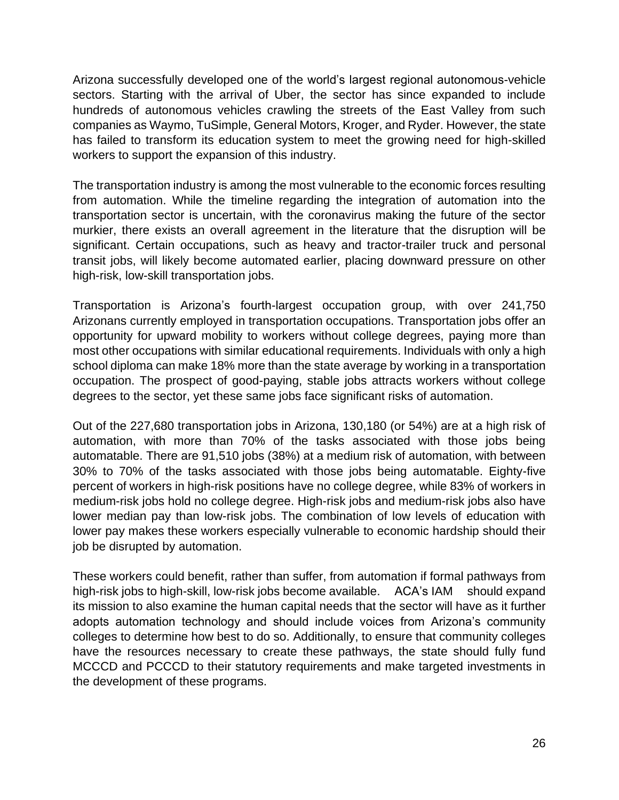Arizona successfully developed one of the world's largest regional autonomous-vehicle sectors. Starting with the arrival of Uber, the sector has since expanded to include hundreds of autonomous vehicles crawling the streets of the East Valley from such companies as Waymo, TuSimple, General Motors, Kroger, and Ryder. However, the state has failed to transform its education system to meet the growing need for high-skilled workers to support the expansion of this industry.

The transportation industry is among the most vulnerable to the economic forces resulting from automation. While the timeline regarding the integration of automation into the transportation sector is uncertain, with the coronavirus making the future of the sector murkier, there exists an overall agreement in the literature that the disruption will be significant. Certain occupations, such as heavy and tractor-trailer truck and personal transit jobs, will likely become automated earlier, placing downward pressure on other high-risk, low-skill transportation jobs.

Transportation is Arizona's fourth-largest occupation group, with over 241,750 Arizonans currently employed in transportation occupations. Transportation jobs offer an opportunity for upward mobility to workers without college degrees, paying more than most other occupations with similar educational requirements. Individuals with only a high school diploma can make 18% more than the state average by working in a transportation occupation. The prospect of good-paying, stable jobs attracts workers without college degrees to the sector, yet these same jobs face significant risks of automation.

Out of the 227,680 transportation jobs in Arizona, 130,180 (or 54%) are at a high risk of automation, with more than 70% of the tasks associated with those jobs being automatable. There are 91,510 jobs (38%) at a medium risk of automation, with between 30% to 70% of the tasks associated with those jobs being automatable. Eighty-five percent of workers in high-risk positions have no college degree, while 83% of workers in medium-risk jobs hold no college degree. High-risk jobs and medium-risk jobs also have lower median pay than low-risk jobs. The combination of low levels of education with lower pay makes these workers especially vulnerable to economic hardship should their job be disrupted by automation.

These workers could benefit, rather than suffer, from automation if formal pathways from high-risk jobs to high-skill, low-risk jobs become available. ACA's IAM should expand its mission to also examine the human capital needs that the sector will have as it further adopts automation technology and should include voices from Arizona's community colleges to determine how best to do so. Additionally, to ensure that community colleges have the resources necessary to create these pathways, the state should fully fund MCCCD and PCCCD to their statutory requirements and make targeted investments in the development of these programs.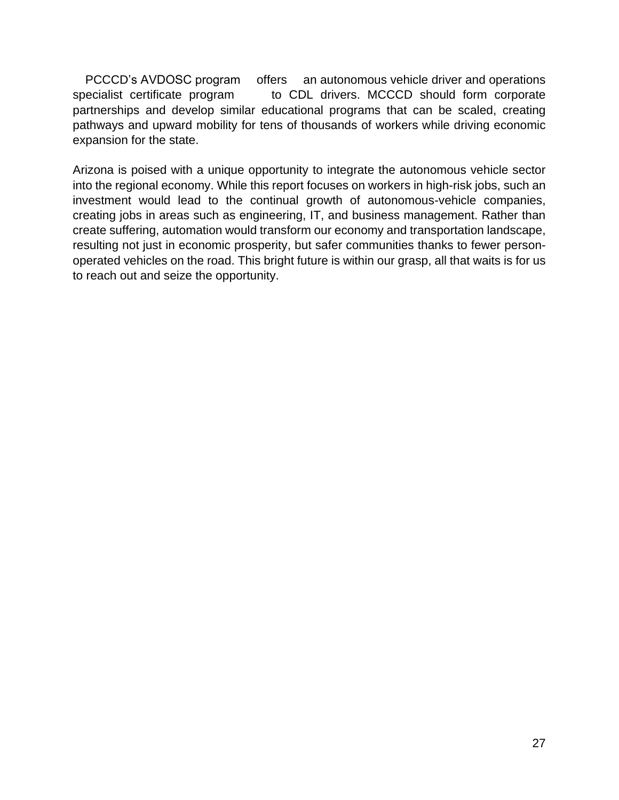PCCCD's AVDOSC program offers an autonomous vehicle driver and operations specialist certificate program to CDL drivers. MCCCD should form corporate partnerships and develop similar educational programs that can be scaled, creating pathways and upward mobility for tens of thousands of workers while driving economic expansion for the state.

Arizona is poised with a unique opportunity to integrate the autonomous vehicle sector into the regional economy. While this report focuses on workers in high-risk jobs, such an investment would lead to the continual growth of autonomous-vehicle companies, creating jobs in areas such as engineering, IT, and business management. Rather than create suffering, automation would transform our economy and transportation landscape, resulting not just in economic prosperity, but safer communities thanks to fewer personoperated vehicles on the road. This bright future is within our grasp, all that waits is for us to reach out and seize the opportunity.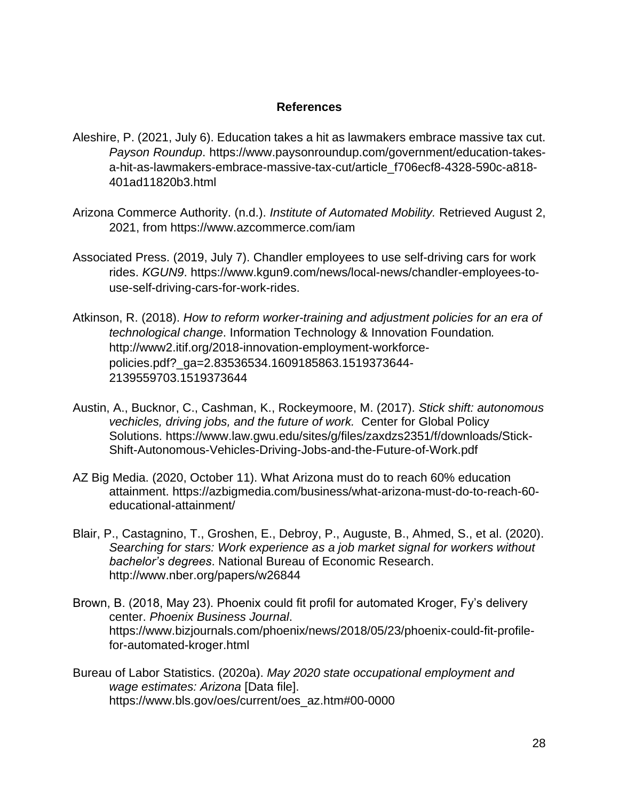#### **References**

- Aleshire, P. (2021, July 6). Education takes a hit as lawmakers embrace massive tax cut. *Payson Roundup*. https://www.paysonroundup.com/government/education-takesa-hit-as-lawmakers-embrace-massive-tax-cut/article\_f706ecf8-4328-590c-a818- 401ad11820b3.html
- Arizona Commerce Authority. (n.d.). *Institute of Automated Mobility.* Retrieved August 2, 2021, from https://www.azcommerce.com/iam
- Associated Press. (2019, July 7). Chandler employees to use self-driving cars for work rides. *KGUN9*. https://www.kgun9.com/news/local-news/chandler-employees-touse-self-driving-cars-for-work-rides.
- Atkinson, R. (2018). *How to reform worker-training and adjustment policies for an era of technological change*. Information Technology & Innovation Foundation*.* http://www2.itif.org/2018-innovation-employment-workforcepolicies.pdf?\_ga=2.83536534.1609185863.1519373644- 2139559703.1519373644
- Austin, A., Bucknor, C., Cashman, K., Rockeymoore, M. (2017). *Stick shift: autonomous vechicles, driving jobs, and the future of work.* Center for Global Policy Solutions. https://www.law.gwu.edu/sites/g/files/zaxdzs2351/f/downloads/Stick-Shift-Autonomous-Vehicles-Driving-Jobs-and-the-Future-of-Work.pdf
- AZ Big Media. (2020, October 11). What Arizona must do to reach 60% education attainment. https://azbigmedia.com/business/what-arizona-must-do-to-reach-60 educational-attainment/
- Blair, P., Castagnino, T., Groshen, E., Debroy, P., Auguste, B., Ahmed, S., et al. (2020). *Searching for stars: Work experience as a job market signal for workers without bachelor's degrees*. National Bureau of Economic Research. http://www.nber.org/papers/w26844
- Brown, B. (2018, May 23). Phoenix could fit profil for automated Kroger, Fy's delivery center. *Phoenix Business Journal*. https://www.bizjournals.com/phoenix/news/2018/05/23/phoenix-could-fit-profilefor-automated-kroger.html
- Bureau of Labor Statistics. (2020a). *May 2020 state occupational employment and wage estimates: Arizona* [Data file]. https://www.bls.gov/oes/current/oes\_az.htm#00-0000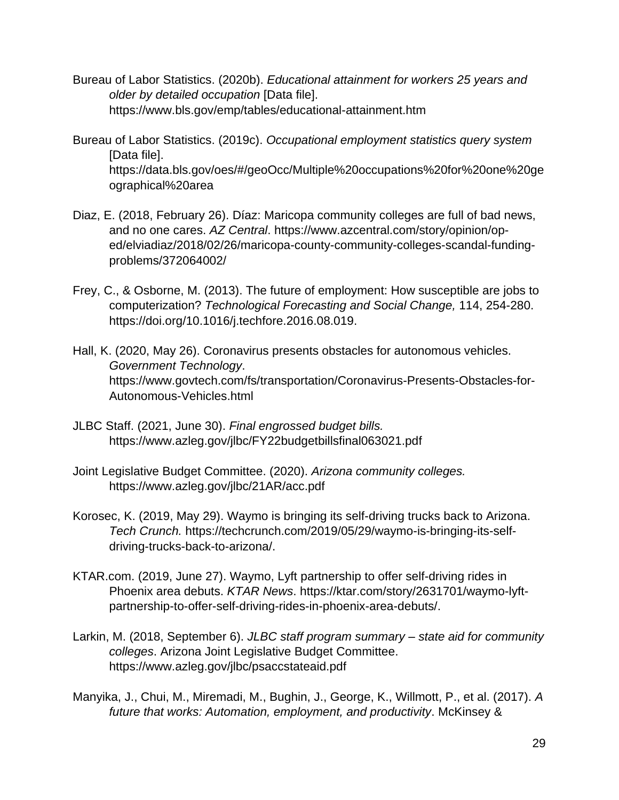- Bureau of Labor Statistics. (2020b). *Educational attainment for workers 25 years and older by detailed occupation* [Data file]. https://www.bls.gov/emp/tables/educational-attainment.htm
- Bureau of Labor Statistics. (2019c). *Occupational employment statistics query system* [Data file]. https://data.bls.gov/oes/#/geoOcc/Multiple%20occupations%20for%20one%20ge ographical%20area
- Diaz, E. (2018, February 26). Díaz: Maricopa community colleges are full of bad news, and no one cares. *AZ Central*. https://www.azcentral.com/story/opinion/oped/elviadiaz/2018/02/26/maricopa-county-community-colleges-scandal-fundingproblems/372064002/
- Frey, C., & Osborne, M. (2013). The future of employment: How susceptible are jobs to computerization? *Technological Forecasting and Social Change,* 114, 254-280. https://doi.org/10.1016/j.techfore.2016.08.019.
- Hall, K. (2020, May 26). Coronavirus presents obstacles for autonomous vehicles. *Government Technology*. https://www.govtech.com/fs/transportation/Coronavirus-Presents-Obstacles-for-Autonomous-Vehicles.html
- JLBC Staff. (2021, June 30). *Final engrossed budget bills.* https://www.azleg.gov/jlbc/FY22budgetbillsfinal063021.pdf
- Joint Legislative Budget Committee. (2020). *Arizona community colleges.*  https://www.azleg.gov/jlbc/21AR/acc.pdf
- Korosec, K. (2019, May 29). Waymo is bringing its self-driving trucks back to Arizona. *Tech Crunch.* https://techcrunch.com/2019/05/29/waymo-is-bringing-its-selfdriving-trucks-back-to-arizona/.
- KTAR.com. (2019, June 27). Waymo, Lyft partnership to offer self-driving rides in Phoenix area debuts. *KTAR News*. https://ktar.com/story/2631701/waymo-lyftpartnership-to-offer-self-driving-rides-in-phoenix-area-debuts/.
- Larkin, M. (2018, September 6). *JLBC staff program summary – state aid for community colleges*. Arizona Joint Legislative Budget Committee. https://www.azleg.gov/jlbc/psaccstateaid.pdf
- Manyika, J., Chui, M., Miremadi, M., Bughin, J., George, K., Willmott, P., et al. (2017). *A future that works: Automation, employment, and productivity*. McKinsey &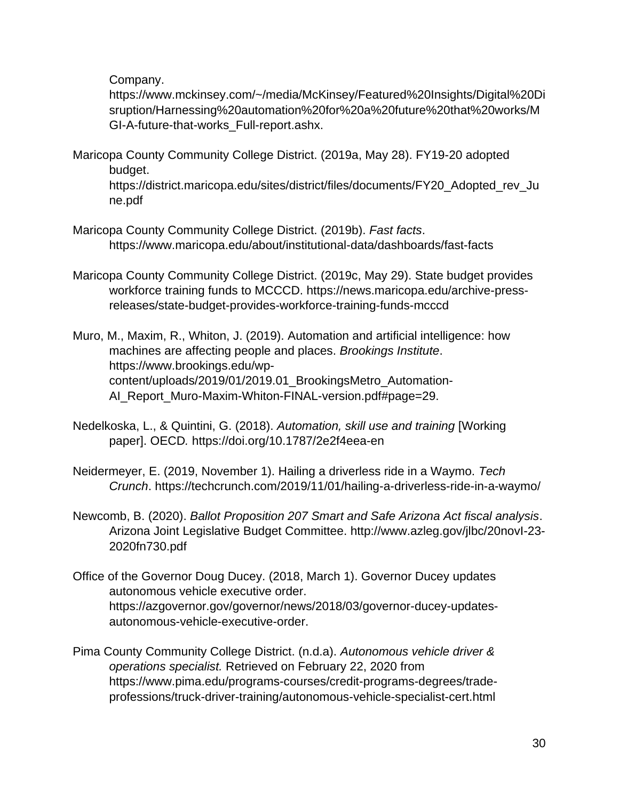Company.

https://www.mckinsey.com/~/media/McKinsey/Featured%20Insights/Digital%20Di sruption/Harnessing%20automation%20for%20a%20future%20that%20works/M GI-A-future-that-works\_Full-report.ashx.

Maricopa County Community College District. (2019a, May 28). FY19-20 adopted budget.

https://district.maricopa.edu/sites/district/files/documents/FY20\_Adopted\_rev\_Ju ne.pdf

- Maricopa County Community College District. (2019b). *Fast facts*. https://www.maricopa.edu/about/institutional-data/dashboards/fast-facts
- Maricopa County Community College District. (2019c, May 29). State budget provides workforce training funds to MCCCD. https://news.maricopa.edu/archive-pressreleases/state-budget-provides-workforce-training-funds-mcccd
- Muro, M., Maxim, R., Whiton, J. (2019). Automation and artificial intelligence: how machines are affecting people and places. *Brookings Institute*. https://www.brookings.edu/wpcontent/uploads/2019/01/2019.01\_BrookingsMetro\_Automation-AI\_Report\_Muro-Maxim-Whiton-FINAL-version.pdf#page=29.
- Nedelkoska, L., & Quintini, G. (2018). *Automation, skill use and training* [Working paper]. OECD*.* https://doi.org/10.1787/2e2f4eea-en
- Neidermeyer, E. (2019, November 1). Hailing a driverless ride in a Waymo. *Tech Crunch*. https://techcrunch.com/2019/11/01/hailing-a-driverless-ride-in-a-waymo/
- Newcomb, B. (2020). *Ballot Proposition 207 Smart and Safe Arizona Act fiscal analysis*. Arizona Joint Legislative Budget Committee. http://www.azleg.gov/jlbc/20novI-23- 2020fn730.pdf
- Office of the Governor Doug Ducey. (2018, March 1). Governor Ducey updates autonomous vehicle executive order. https://azgovernor.gov/governor/news/2018/03/governor-ducey-updatesautonomous-vehicle-executive-order.
- Pima County Community College District. (n.d.a). *Autonomous vehicle driver & operations specialist.* Retrieved on February 22, 2020 from https://www.pima.edu/programs-courses/credit-programs-degrees/tradeprofessions/truck-driver-training/autonomous-vehicle-specialist-cert.html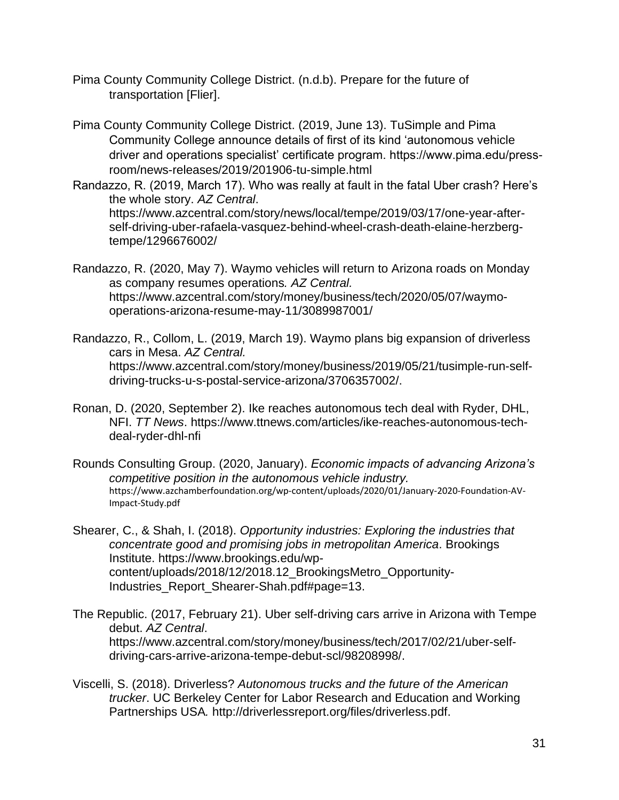- Pima County Community College District. (n.d.b). Prepare for the future of transportation [Flier].
- Pima County Community College District. (2019, June 13). TuSimple and Pima Community College announce details of first of its kind 'autonomous vehicle driver and operations specialist' certificate program. https://www.pima.edu/pressroom/news-releases/2019/201906-tu-simple.html
- Randazzo, R. (2019, March 17). Who was really at fault in the fatal Uber crash? Here's the whole story. *AZ Central*. https://www.azcentral.com/story/news/local/tempe/2019/03/17/one-year-afterself-driving-uber-rafaela-vasquez-behind-wheel-crash-death-elaine-herzbergtempe/1296676002/
- Randazzo, R. (2020, May 7). Waymo vehicles will return to Arizona roads on Monday as company resumes operations*. AZ Central.* https://www.azcentral.com/story/money/business/tech/2020/05/07/waymooperations-arizona-resume-may-11/3089987001/
- Randazzo, R., Collom, L. (2019, March 19). Waymo plans big expansion of driverless cars in Mesa. *AZ Central.* https://www.azcentral.com/story/money/business/2019/05/21/tusimple-run-selfdriving-trucks-u-s-postal-service-arizona/3706357002/.
- Ronan, D. (2020, September 2). Ike reaches autonomous tech deal with Ryder, DHL, NFI. *TT News*. https://www.ttnews.com/articles/ike-reaches-autonomous-techdeal-ryder-dhl-nfi
- Rounds Consulting Group. (2020, January). *Economic impacts of advancing Arizona's competitive position in the autonomous vehicle industry.*  https://www.azchamberfoundation.org/wp-content/uploads/2020/01/January-2020-Foundation-AV-Impact-Study.pdf

Shearer, C., & Shah, I. (2018). *Opportunity industries: Exploring the industries that concentrate good and promising jobs in metropolitan America*. Brookings Institute. https://www.brookings.edu/wpcontent/uploads/2018/12/2018.12\_BrookingsMetro\_Opportunity-Industries\_Report\_Shearer-Shah.pdf#page=13.

- The Republic. (2017, February 21). Uber self-driving cars arrive in Arizona with Tempe debut. *AZ Central*. https://www.azcentral.com/story/money/business/tech/2017/02/21/uber-selfdriving-cars-arrive-arizona-tempe-debut-scl/98208998/.
- Viscelli, S. (2018). Driverless? *Autonomous trucks and the future of the American trucker*. UC Berkeley Center for Labor Research and Education and Working Partnerships USA*.* http://driverlessreport.org/files/driverless.pdf.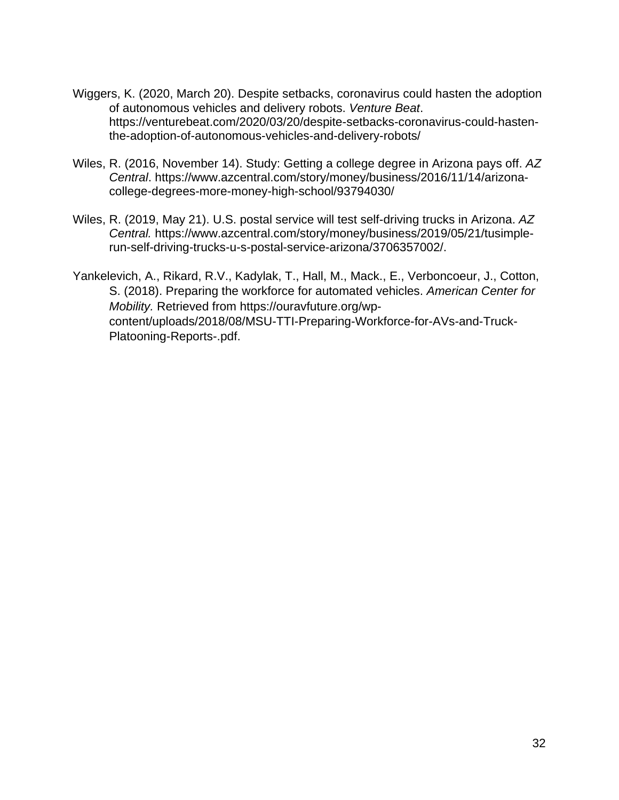- Wiggers, K. (2020, March 20). Despite setbacks, coronavirus could hasten the adoption of autonomous vehicles and delivery robots. *Venture Beat*. https://venturebeat.com/2020/03/20/despite-setbacks-coronavirus-could-hastenthe-adoption-of-autonomous-vehicles-and-delivery-robots/
- Wiles, R. (2016, November 14). Study: Getting a college degree in Arizona pays off. *AZ Central*. https://www.azcentral.com/story/money/business/2016/11/14/arizonacollege-degrees-more-money-high-school/93794030/
- Wiles, R. (2019, May 21). U.S. postal service will test self-driving trucks in Arizona. *AZ Central.* https://www.azcentral.com/story/money/business/2019/05/21/tusimplerun-self-driving-trucks-u-s-postal-service-arizona/3706357002/.
- Yankelevich, A., Rikard, R.V., Kadylak, T., Hall, M., Mack., E., Verboncoeur, J., Cotton, S. (2018). Preparing the workforce for automated vehicles. *American Center for Mobility.* Retrieved from https://ouravfuture.org/wpcontent/uploads/2018/08/MSU-TTI-Preparing-Workforce-for-AVs-and-Truck-Platooning-Reports-.pdf.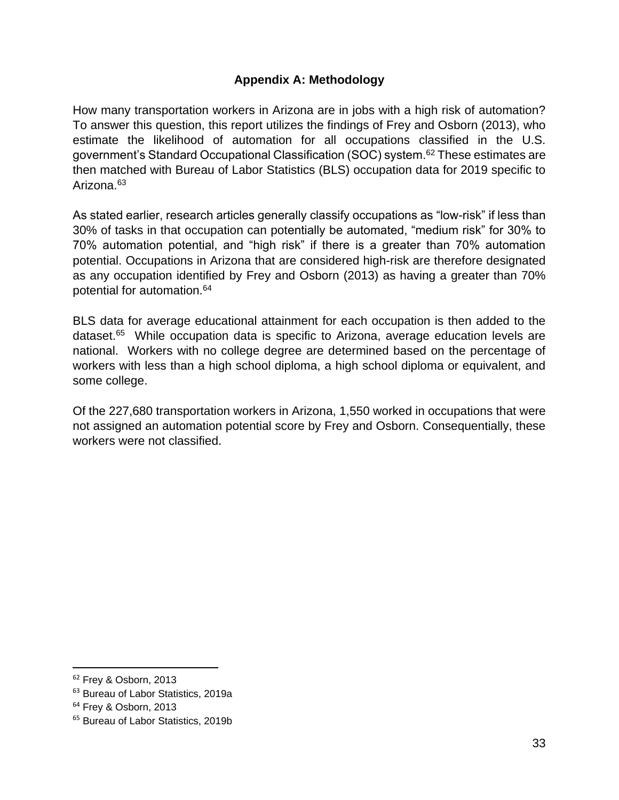### **Appendix A: Methodology**

How many transportation workers in Arizona are in jobs with a high risk of automation? To answer this question, this report utilizes the findings of Frey and Osborn (2013), who estimate the likelihood of automation for all occupations classified in the U.S. government's Standard Occupational Classification (SOC) system.<sup>62</sup> These estimates are then matched with Bureau of Labor Statistics (BLS) occupation data for 2019 specific to Arizona.<sup>63</sup>

As stated earlier, research articles generally classify occupations as "low-risk" if less than 30% of tasks in that occupation can potentially be automated, "medium risk" for 30% to 70% automation potential, and "high risk" if there is a greater than 70% automation potential. Occupations in Arizona that are considered high-risk are therefore designated as any occupation identified by Frey and Osborn (2013) as having a greater than 70% potential for automation.<sup>64</sup>

BLS data for average educational attainment for each occupation is then added to the dataset.<sup>65</sup> While occupation data is specific to Arizona, average education levels are national. Workers with no college degree are determined based on the percentage of workers with less than a high school diploma, a high school diploma or equivalent, and some college.

Of the 227,680 transportation workers in Arizona, 1,550 worked in occupations that were not assigned an automation potential score by Frey and Osborn. Consequentially, these workers were not classified.

<sup>&</sup>lt;sup>62</sup> Frey & Osborn, 2013

<sup>&</sup>lt;sup>63</sup> Bureau of Labor Statistics, 2019a

<sup>64</sup> Frey & Osborn, 2013

<sup>&</sup>lt;sup>65</sup> Bureau of Labor Statistics, 2019b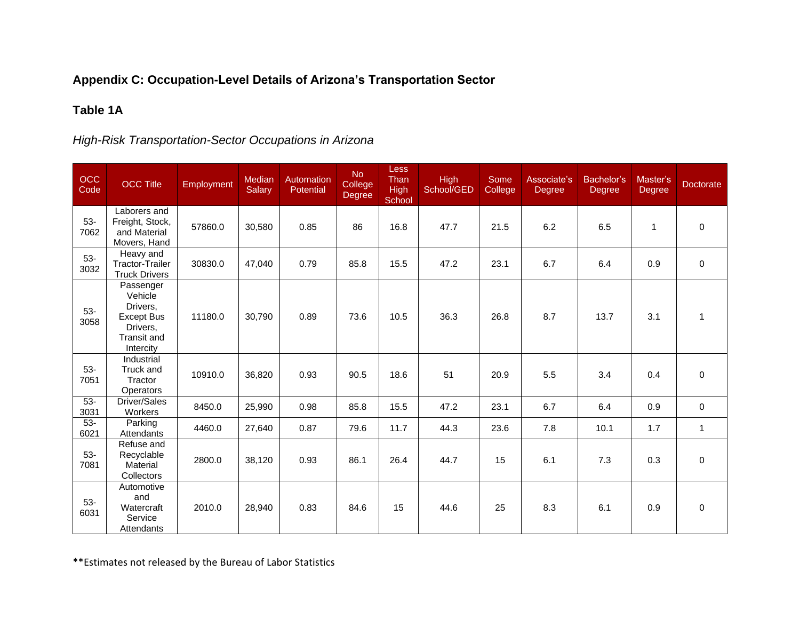# **Appendix C: Occupation-Level Details of Arizona's Transportation Sector**

# **Table 1A**

# *High-Risk Transportation-Sector Occupations in Arizona*

| OCC<br>Code   | <b>OCC Title</b>                                                                              | <b>Employment</b> | <b>Median</b><br>Salary | Automation<br>Potential | No.<br>College<br>Degree | <b>Less</b><br>Than<br><b>High</b><br>School | <b>High</b><br>School/GED | Some<br>College | Associate's<br>Degree | Bachelor's<br>Degree | Master's<br><b>Degree</b> | <b>Doctorate</b> |
|---------------|-----------------------------------------------------------------------------------------------|-------------------|-------------------------|-------------------------|--------------------------|----------------------------------------------|---------------------------|-----------------|-----------------------|----------------------|---------------------------|------------------|
| $53-$<br>7062 | Laborers and<br>Freight, Stock,<br>and Material<br>Movers, Hand                               | 57860.0           | 30,580                  | 0.85                    | 86                       | 16.8                                         | 47.7                      | 21.5            | 6.2                   | 6.5                  | 1                         | $\mathbf 0$      |
| $53-$<br>3032 | Heavy and<br><b>Tractor-Trailer</b><br><b>Truck Drivers</b>                                   | 30830.0           | 47,040                  | 0.79                    | 85.8                     | 15.5                                         | 47.2                      | 23.1            | 6.7                   | 6.4                  | 0.9                       | 0                |
| $53-$<br>3058 | Passenger<br>Vehicle<br>Drivers.<br><b>Except Bus</b><br>Drivers.<br>Transit and<br>Intercity | 11180.0           | 30,790                  | 0.89                    | 73.6                     | 10.5                                         | 36.3                      | 26.8            | 8.7                   | 13.7                 | 3.1                       | 1                |
| 53-<br>7051   | Industrial<br>Truck and<br>Tractor<br>Operators                                               | 10910.0           | 36,820                  | 0.93                    | 90.5                     | 18.6                                         | 51                        | 20.9            | 5.5                   | 3.4                  | 0.4                       | $\mathbf 0$      |
| $53-$<br>3031 | Driver/Sales<br>Workers                                                                       | 8450.0            | 25,990                  | 0.98                    | 85.8                     | 15.5                                         | 47.2                      | 23.1            | 6.7                   | 6.4                  | 0.9                       | $\mathbf 0$      |
| $53-$<br>6021 | Parking<br>Attendants                                                                         | 4460.0            | 27,640                  | 0.87                    | 79.6                     | 11.7                                         | 44.3                      | 23.6            | 7.8                   | 10.1                 | 1.7                       | $\mathbf{1}$     |
| 53-<br>7081   | Refuse and<br>Recyclable<br>Material<br><b>Collectors</b>                                     | 2800.0            | 38,120                  | 0.93                    | 86.1                     | 26.4                                         | 44.7                      | 15              | 6.1                   | 7.3                  | 0.3                       | $\mathbf 0$      |
| $53-$<br>6031 | Automotive<br>and<br>Watercraft<br>Service<br>Attendants                                      | 2010.0            | 28,940                  | 0.83                    | 84.6                     | 15                                           | 44.6                      | 25              | 8.3                   | 6.1                  | 0.9                       | 0                |

\*\*Estimates not released by the Bureau of Labor Statistics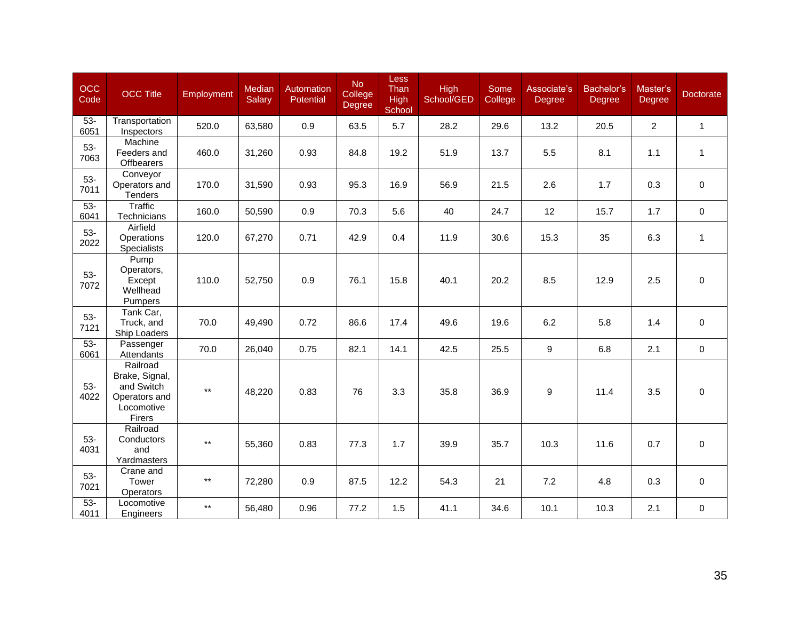| OCC<br>Code    | <b>OCC Title</b>                                                                  | Employment   | Median<br><b>Salary</b> | <b>Automation</b><br>Potential | No<br>College<br>Degree | Less<br>Than<br><b>High</b><br>School | <b>High</b><br>School/GED | Some<br>College | Associate's<br>Degree | Bachelor's<br>Degree | Master's<br><b>Degree</b> | <b>Doctorate</b> |
|----------------|-----------------------------------------------------------------------------------|--------------|-------------------------|--------------------------------|-------------------------|---------------------------------------|---------------------------|-----------------|-----------------------|----------------------|---------------------------|------------------|
| $53-$<br>6051  | Transportation<br>Inspectors                                                      | 520.0        | 63,580                  | 0.9                            | 63.5                    | 5.7                                   | 28.2                      | 29.6            | 13.2                  | 20.5                 | $\overline{2}$            | $\mathbf{1}$     |
| $53-$<br>7063  | Machine<br>Feeders and<br>Offbearers                                              | 460.0        | 31,260                  | 0.93                           | 84.8                    | 19.2                                  | 51.9                      | 13.7            | 5.5                   | 8.1                  | 1.1                       | $\mathbf{1}$     |
| $53-$<br>7011  | Conveyor<br>Operators and<br><b>Tenders</b>                                       | 170.0        | 31,590                  | 0.93                           | 95.3                    | 16.9                                  | 56.9                      | 21.5            | 2.6                   | 1.7                  | 0.3                       | $\mathbf 0$      |
| $53 -$<br>6041 | <b>Traffic</b><br>Technicians                                                     | 160.0        | 50,590                  | 0.9                            | 70.3                    | 5.6                                   | 40                        | 24.7            | 12                    | 15.7                 | 1.7                       | $\mathbf 0$      |
| $53-$<br>2022  | Airfield<br>Operations<br><b>Specialists</b>                                      | 120.0        | 67,270                  | 0.71                           | 42.9                    | 0.4                                   | 11.9                      | 30.6            | 15.3                  | 35                   | 6.3                       | $\mathbf{1}$     |
| $53-$<br>7072  | Pump<br>Operators,<br>Except<br>Wellhead<br>Pumpers                               | 110.0        | 52,750                  | 0.9                            | 76.1                    | 15.8                                  | 40.1                      | 20.2            | 8.5                   | 12.9                 | 2.5                       | $\mathbf 0$      |
| $53-$<br>7121  | Tank Car,<br>Truck, and<br>Ship Loaders                                           | 70.0         | 49,490                  | 0.72                           | 86.6                    | 17.4                                  | 49.6                      | 19.6            | 6.2                   | 5.8                  | 1.4                       | 0                |
| $53 -$<br>6061 | Passenger<br>Attendants                                                           | 70.0         | 26,040                  | 0.75                           | 82.1                    | 14.1                                  | 42.5                      | 25.5            | 9                     | 6.8                  | 2.1                       | $\mathbf 0$      |
| $53-$<br>4022  | Railroad<br>Brake, Signal,<br>and Switch<br>Operators and<br>Locomotive<br>Firers | $\star\star$ | 48,220                  | 0.83                           | 76                      | 3.3                                   | 35.8                      | 36.9            | 9                     | 11.4                 | 3.5                       | $\mathbf 0$      |
| $53-$<br>4031  | Railroad<br>Conductors<br>and<br>Yardmasters                                      | $\star\star$ | 55,360                  | 0.83                           | 77.3                    | 1.7                                   | 39.9                      | 35.7            | 10.3                  | 11.6                 | 0.7                       | 0                |
| 53-<br>7021    | Crane and<br>Tower<br>Operators                                                   | $***$        | 72,280                  | 0.9                            | 87.5                    | 12.2                                  | 54.3                      | 21              | 7.2                   | 4.8                  | 0.3                       | $\mathbf 0$      |
| $53-$<br>4011  | Locomotive<br>Engineers                                                           | $\star\star$ | 56,480                  | 0.96                           | 77.2                    | 1.5                                   | 41.1                      | 34.6            | 10.1                  | 10.3                 | 2.1                       | $\mathsf{O}$     |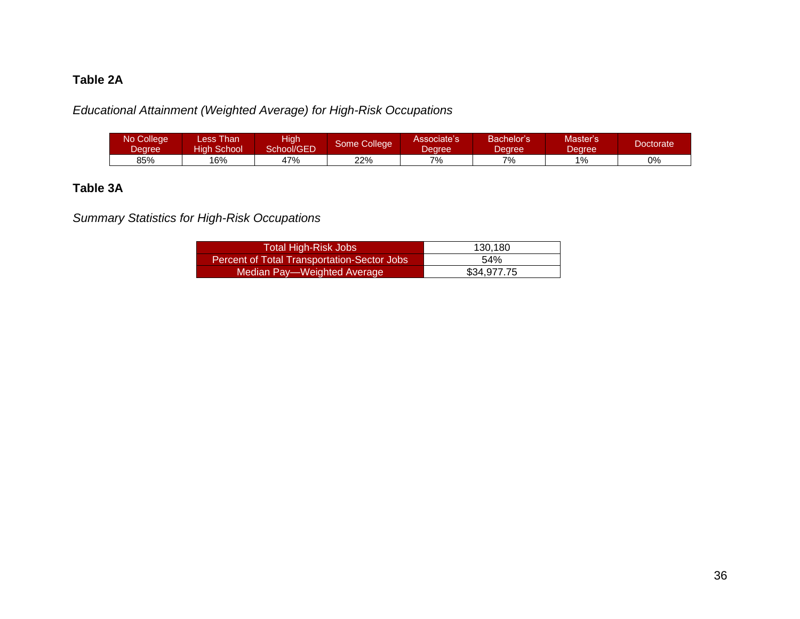# **Table 2A**

*Educational Attainment (Weighted Average) for High-Risk Occupations*

| No College<br>Degree | ess Than<br>liah School | ligh<br>School/GED | Some College1 | Associate's<br>Dearee. | Bachelor's<br>Jearee | Master's<br>Jearee | <b>Doctorate</b> |
|----------------------|-------------------------|--------------------|---------------|------------------------|----------------------|--------------------|------------------|
| 85%                  | '6%                     | 47%                | 22%           | 7%                     | 7%                   | 1%                 | 0%               |

# **Table 3A**

*Summary Statistics for High-Risk Occupations*

| Total High-Risk Jobs                               | 130,180     |
|----------------------------------------------------|-------------|
| <b>Percent of Total Transportation-Sector Jobs</b> | 54%         |
| Median Pay—Weighted Average                        | \$34.977.75 |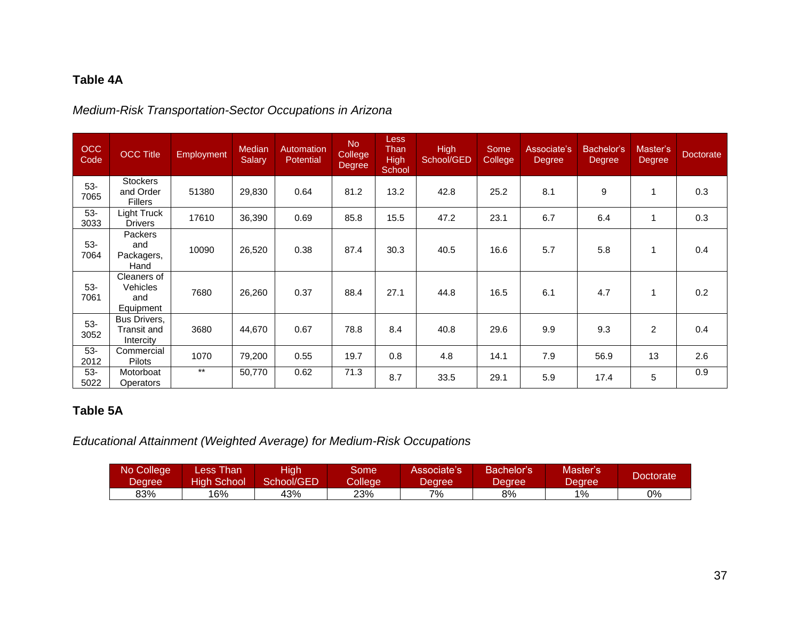# **Table 4A**

# *Medium-Risk Transportation-Sector Occupations in Arizona*

| <b>OCC</b><br>Code | <b>OCC Title</b>                                   | Employment | Median<br>Salary | Automation<br><b>Potential</b> | <b>No</b><br><b>College</b><br>Degree | <b>Less</b><br>Than<br><b>High</b><br>School | <b>High</b><br>School/GED | Some<br>College | Associate's<br><b>Degree</b> | Bachelor's<br><b>Degree</b> | Master's<br>Degree | Doctorate |
|--------------------|----------------------------------------------------|------------|------------------|--------------------------------|---------------------------------------|----------------------------------------------|---------------------------|-----------------|------------------------------|-----------------------------|--------------------|-----------|
| $53-$<br>7065      | <b>Stockers</b><br>and Order<br><b>Fillers</b>     | 51380      | 29,830           | 0.64                           | 81.2                                  | 13.2                                         | 42.8                      | 25.2            | 8.1                          | 9                           | 1                  | 0.3       |
| $53-$<br>3033      | Light Truck<br><b>Drivers</b>                      | 17610      | 36,390           | 0.69                           | 85.8                                  | 15.5                                         | 47.2                      | 23.1            | 6.7                          | 6.4                         | 1                  | 0.3       |
| $53-$<br>7064      | Packers<br>and<br>Packagers,<br>Hand               | 10090      | 26,520           | 0.38                           | 87.4                                  | 30.3                                         | 40.5                      | 16.6            | 5.7                          | 5.8                         |                    | 0.4       |
| $53-$<br>7061      | Cleaners of<br><b>Vehicles</b><br>and<br>Equipment | 7680       | 26,260           | 0.37                           | 88.4                                  | 27.1                                         | 44.8                      | 16.5            | 6.1                          | 4.7                         |                    | 0.2       |
| $53-$<br>3052      | Bus Drivers,<br>Transit and<br>Intercity           | 3680       | 44.670           | 0.67                           | 78.8                                  | 8.4                                          | 40.8                      | 29.6            | 9.9                          | 9.3                         | $\overline{c}$     | 0.4       |
| $53-$<br>2012      | Commercial<br>Pilots                               | 1070       | 79,200           | 0.55                           | 19.7                                  | 0.8                                          | 4.8                       | 14.1            | 7.9                          | 56.9                        | 13                 | 2.6       |
| $53-$<br>5022      | Motorboat<br><b>Operators</b>                      | $***$      | 50,770           | 0.62                           | 71.3                                  | 8.7                                          | 33.5                      | 29.1            | 5.9                          | 17.4                        | 5                  | 0.9       |

# **Table 5A**

*Educational Attainment (Weighted Average) for Medium-Risk Occupations*

| No College | Less Than.   | <b>High</b> | Some.   | Associate's | Bachelor's | Master's | Doctorate' |
|------------|--------------|-------------|---------|-------------|------------|----------|------------|
| Degree ,   | High School' | School/GED  | College | Dearee.     | Degree     | Dearee.  |            |
| 83%        | 16%          | 43%         | 23%     | 7%          | 8%         | 1%       | 0%         |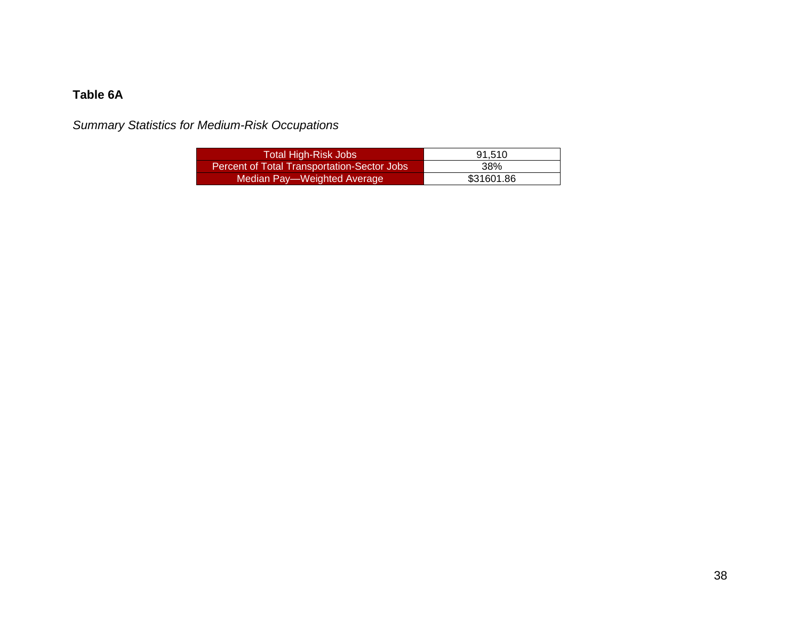# **Table 6A**

*Summary Statistics for Medium-Risk Occupations*

| Total High-Risk Jobs                               | 91.510     |
|----------------------------------------------------|------------|
| <b>Percent of Total Transportation-Sector Jobs</b> | 38%        |
| Median Pay—Weighted Average                        | \$31601.86 |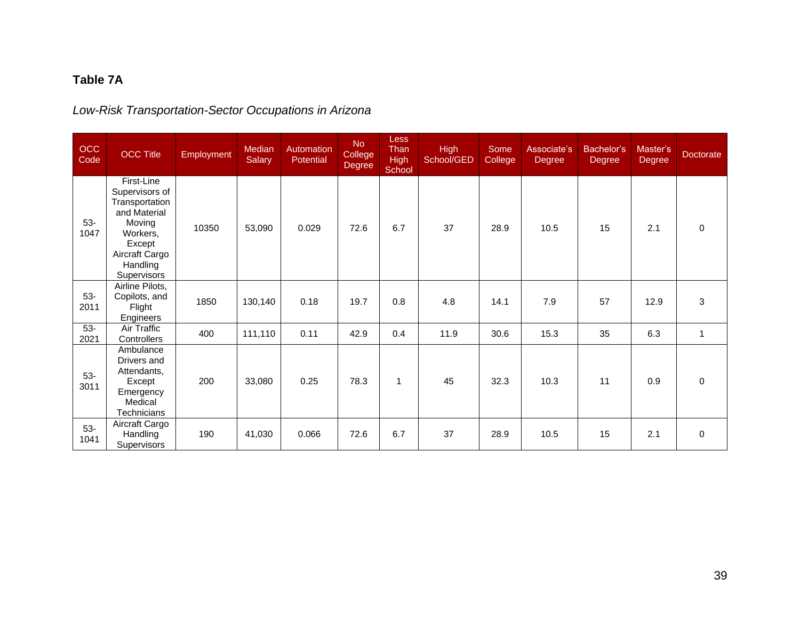# **Table 7A**

# *Low-Risk Transportation-Sector Occupations in Arizona*

| OCC<br>Code   | <b>OCC Title</b>                                                                                                                            | Employment | Median<br><b>Salary</b> | Automation<br>Potential | <b>No</b><br>College<br>Degree | <b>Less</b><br>Than<br><b>High</b><br>School | <b>High</b><br>School/GED | Some<br>College | Associate's<br>Degree | Bachelor's<br>Degree | Master's<br>Degree | <b>Doctorate</b> |
|---------------|---------------------------------------------------------------------------------------------------------------------------------------------|------------|-------------------------|-------------------------|--------------------------------|----------------------------------------------|---------------------------|-----------------|-----------------------|----------------------|--------------------|------------------|
| $53-$<br>1047 | First-Line<br>Supervisors of<br>Transportation<br>and Material<br>Moving<br>Workers,<br>Except<br>Aircraft Cargo<br>Handling<br>Supervisors | 10350      | 53,090                  | 0.029                   | 72.6                           | 6.7                                          | 37                        | 28.9            | 10.5                  | 15                   | 2.1                | $\Omega$         |
| $53-$<br>2011 | Airline Pilots,<br>Copilots, and<br>Flight<br><b>Engineers</b>                                                                              | 1850       | 130,140                 | 0.18                    | 19.7                           | 0.8                                          | 4.8                       | 14.1            | 7.9                   | 57                   | 12.9               | 3                |
| $53-$<br>2021 | Air Traffic<br>Controllers                                                                                                                  | 400        | 111,110                 | 0.11                    | 42.9                           | 0.4                                          | 11.9                      | 30.6            | 15.3                  | 35                   | 6.3                | $\mathbf{1}$     |
| $53-$<br>3011 | Ambulance<br>Drivers and<br>Attendants,<br>Except<br>Emergency<br>Medical<br>Technicians                                                    | 200        | 33,080                  | 0.25                    | 78.3                           | $\mathbf{1}$                                 | 45                        | 32.3            | 10.3                  | 11                   | 0.9                | $\Omega$         |
| $53-$<br>1041 | Aircraft Cargo<br>Handling<br><b>Supervisors</b>                                                                                            | 190        | 41,030                  | 0.066                   | 72.6                           | 6.7                                          | 37                        | 28.9            | 10.5                  | 15                   | 2.1                | $\Omega$         |